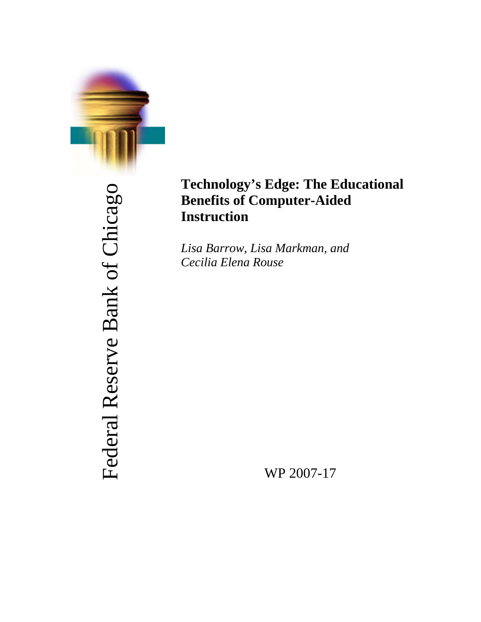

# Federal Reserve Bank of Chicago Federal Reserve Bank of Chicago

# **Technology's Edge: The Educational Benefits of Computer-Aided Instruction**

*Lisa Barrow, Lisa Markman, and Cecilia Elena Rouse* 

WP 2007-17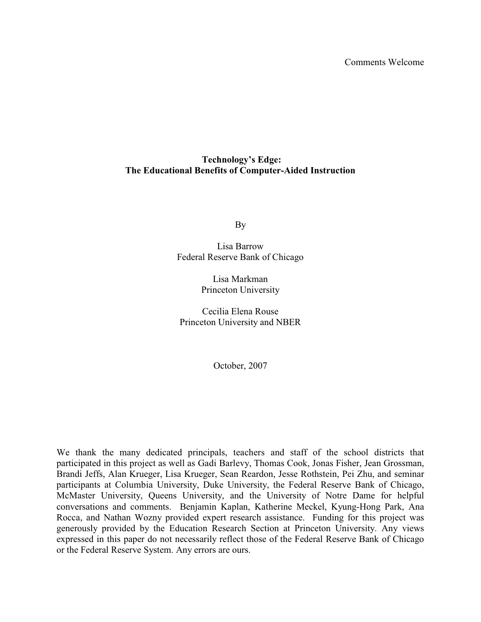Comments Welcome

# **Technology's Edge: The Educational Benefits of Computer-Aided Instruction**

By

Lisa Barrow Federal Reserve Bank of Chicago

> Lisa Markman Princeton University

Cecilia Elena Rouse Princeton University and NBER

October, 2007

We thank the many dedicated principals, teachers and staff of the school districts that participated in this project as well as Gadi Barlevy, Thomas Cook, Jonas Fisher, Jean Grossman, Brandi Jeffs, Alan Krueger, Lisa Krueger, Sean Reardon, Jesse Rothstein, Pei Zhu, and seminar participants at Columbia University, Duke University, the Federal Reserve Bank of Chicago, McMaster University, Queens University, and the University of Notre Dame for helpful conversations and comments. Benjamin Kaplan, Katherine Meckel, Kyung-Hong Park, Ana Rocca, and Nathan Wozny provided expert research assistance. Funding for this project was generously provided by the Education Research Section at Princeton University. Any views expressed in this paper do not necessarily reflect those of the Federal Reserve Bank of Chicago or the Federal Reserve System. Any errors are ours.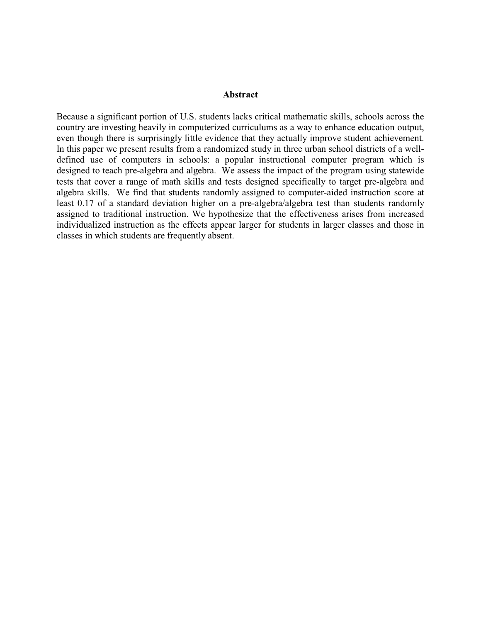## **Abstract**

Because a significant portion of U.S. students lacks critical mathematic skills, schools across the country are investing heavily in computerized curriculums as a way to enhance education output, even though there is surprisingly little evidence that they actually improve student achievement. In this paper we present results from a randomized study in three urban school districts of a welldefined use of computers in schools: a popular instructional computer program which is designed to teach pre-algebra and algebra. We assess the impact of the program using statewide tests that cover a range of math skills and tests designed specifically to target pre-algebra and algebra skills. We find that students randomly assigned to computer-aided instruction score at least 0.17 of a standard deviation higher on a pre-algebra/algebra test than students randomly assigned to traditional instruction. We hypothesize that the effectiveness arises from increased individualized instruction as the effects appear larger for students in larger classes and those in classes in which students are frequently absent.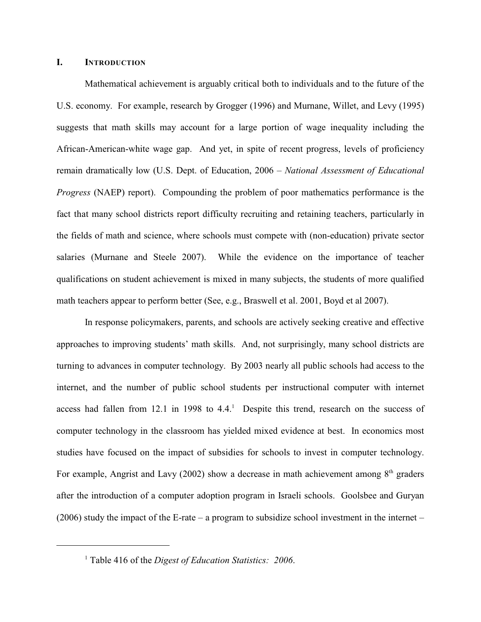#### **I. INTRODUCTION**

Mathematical achievement is arguably critical both to individuals and to the future of the U.S. economy. For example, research by Grogger (1996) and Murnane, Willet, and Levy (1995) suggests that math skills may account for a large portion of wage inequality including the African-American-white wage gap. And yet, in spite of recent progress, levels of proficiency remain dramatically low (U.S. Dept. of Education, 2006 – *National Assessment of Educational Progress* (NAEP) report). Compounding the problem of poor mathematics performance is the fact that many school districts report difficulty recruiting and retaining teachers, particularly in the fields of math and science, where schools must compete with (non-education) private sector salaries (Murnane and Steele 2007). While the evidence on the importance of teacher qualifications on student achievement is mixed in many subjects, the students of more qualified math teachers appear to perform better (See, e.g., Braswell et al. 2001, Boyd et al 2007).

In response policymakers, parents, and schools are actively seeking creative and effective approaches to improving students' math skills. And, not surprisingly, many school districts are turning to advances in computer technology.By 2003 nearly all public schools had access to the internet, and the number of public school students per instructional computer with internet access had fallen from 12.1 in 1998 to 4.4.<sup>1</sup> Despite this trend, research on the success of computer technology in the classroom has yielded mixed evidence at best. In economics most studies have focused on the impact of subsidies for schools to invest in computer technology. For example, Angrist and Lavy (2002) show a decrease in math achievement among  $8<sup>th</sup>$  graders after the introduction of a computer adoption program in Israeli schools. Goolsbee and Guryan  $(2006)$  study the impact of the E-rate – a program to subsidize school investment in the internet –

<sup>&</sup>lt;sup>1</sup> Table 416 of the *Digest of Education Statistics*: 2006.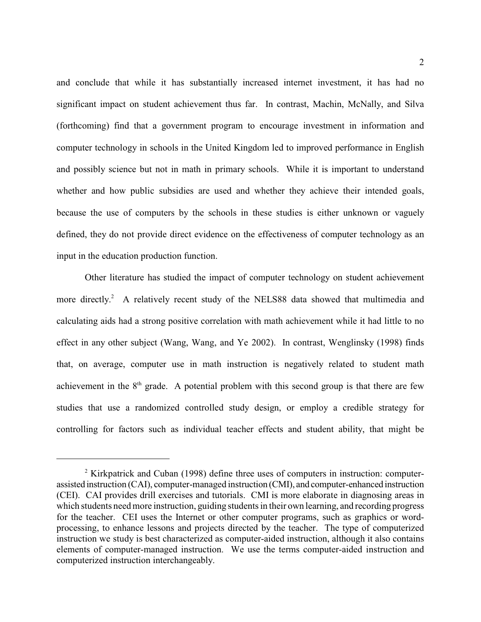and conclude that while it has substantially increased internet investment, it has had no significant impact on student achievement thus far. In contrast, Machin, McNally, and Silva (forthcoming) find that a government program to encourage investment in information and computer technology in schools in the United Kingdom led to improved performance in English and possibly science but not in math in primary schools. While it is important to understand whether and how public subsidies are used and whether they achieve their intended goals, because the use of computers by the schools in these studies is either unknown or vaguely defined, they do not provide direct evidence on the effectiveness of computer technology as an input in the education production function.

Other literature has studied the impact of computer technology on student achievement more directly.<sup>2</sup> A relatively recent study of the NELS88 data showed that multimedia and calculating aids had a strong positive correlation with math achievement while it had little to no effect in any other subject (Wang, Wang, and Ye 2002). In contrast, Wenglinsky (1998) finds that, on average, computer use in math instruction is negatively related to student math achievement in the  $8<sup>th</sup>$  grade. A potential problem with this second group is that there are few studies that use a randomized controlled study design, or employ a credible strategy for controlling for factors such as individual teacher effects and student ability, that might be

 $\frac{2}{3}$  Kirkpatrick and Cuban (1998) define three uses of computers in instruction: computerassisted instruction (CAI), computer-managed instruction (CMI), and computer-enhanced instruction (CEI). CAI provides drill exercises and tutorials. CMI is more elaborate in diagnosing areas in which students need more instruction, guiding students in their own learning, and recording progress for the teacher. CEI uses the Internet or other computer programs, such as graphics or wordprocessing, to enhance lessons and projects directed by the teacher. The type of computerized instruction we study is best characterized as computer-aided instruction, although it also contains elements of computer-managed instruction. We use the terms computer-aided instruction and computerized instruction interchangeably.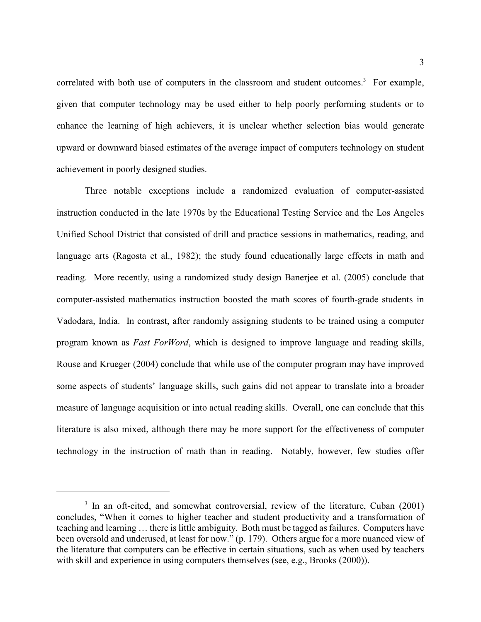correlated with both use of computers in the classroom and student outcomes.<sup>3</sup> For example, given that computer technology may be used either to help poorly performing students or to enhance the learning of high achievers, it is unclear whether selection bias would generate upward or downward biased estimates of the average impact of computers technology on student achievement in poorly designed studies.

Three notable exceptions include a randomized evaluation of computer-assisted instruction conducted in the late 1970s by the Educational Testing Service and the Los Angeles Unified School District that consisted of drill and practice sessions in mathematics, reading, and language arts (Ragosta et al., 1982); the study found educationally large effects in math and reading. More recently, using a randomized study design Banerjee et al. (2005) conclude that computer-assisted mathematics instruction boosted the math scores of fourth-grade students in Vadodara, India. In contrast, after randomly assigning students to be trained using a computer program known as *Fast ForWord*, which is designed to improve language and reading skills, Rouse and Krueger (2004) conclude that while use of the computer program may have improved some aspects of students' language skills, such gains did not appear to translate into a broader measure of language acquisition or into actual reading skills. Overall, one can conclude that this literature is also mixed, although there may be more support for the effectiveness of computer technology in the instruction of math than in reading. Notably, however, few studies offer

 $3\,$  In an oft-cited, and somewhat controversial, review of the literature, Cuban (2001) concludes, "When it comes to higher teacher and student productivity and a transformation of teaching and learning … there is little ambiguity. Both must be tagged as failures. Computers have been oversold and underused, at least for now." (p. 179). Others argue for a more nuanced view of the literature that computers can be effective in certain situations, such as when used by teachers with skill and experience in using computers themselves (see, e.g., Brooks (2000)).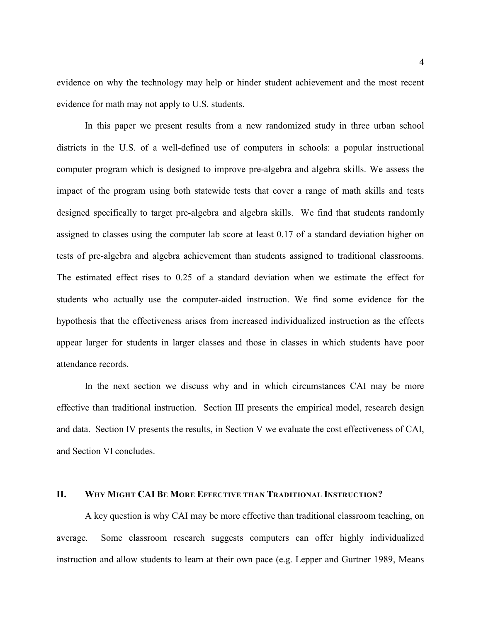evidence on why the technology may help or hinder student achievement and the most recent evidence for math may not apply to U.S. students.

In this paper we present results from a new randomized study in three urban school districts in the U.S. of a well-defined use of computers in schools: a popular instructional computer program which is designed to improve pre-algebra and algebra skills. We assess the impact of the program using both statewide tests that cover a range of math skills and tests designed specifically to target pre-algebra and algebra skills. We find that students randomly assigned to classes using the computer lab score at least 0.17 of a standard deviation higher on tests of pre-algebra and algebra achievement than students assigned to traditional classrooms. The estimated effect rises to 0.25 of a standard deviation when we estimate the effect for students who actually use the computer-aided instruction. We find some evidence for the hypothesis that the effectiveness arises from increased individualized instruction as the effects appear larger for students in larger classes and those in classes in which students have poor attendance records.

In the next section we discuss why and in which circumstances CAI may be more effective than traditional instruction. Section III presents the empirical model, research design and data. Section IV presents the results, in Section V we evaluate the cost effectiveness of CAI, and Section VI concludes.

#### **II. WHY MIGHT CAI BE MORE EFFECTIVE THAN TRADITIONAL INSTRUCTION?**

A key question is why CAI may be more effective than traditional classroom teaching, on average. Some classroom research suggests computers can offer highly individualized instruction and allow students to learn at their own pace (e.g. Lepper and Gurtner 1989, Means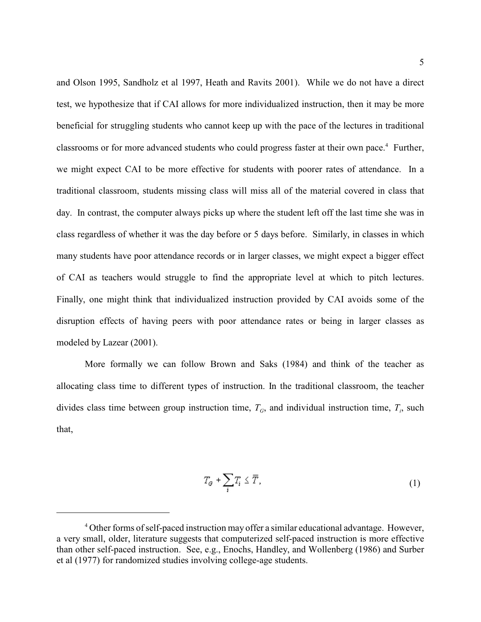and Olson 1995, Sandholz et al 1997, Heath and Ravits 2001). While we do not have a direct test, we hypothesize that if CAI allows for more individualized instruction, then it may be more beneficial for struggling students who cannot keep up with the pace of the lectures in traditional classrooms or for more advanced students who could progress faster at their own pace.<sup>4</sup> Further, we might expect CAI to be more effective for students with poorer rates of attendance. In a traditional classroom, students missing class will miss all of the material covered in class that day. In contrast, the computer always picks up where the student left off the last time she was in class regardless of whether it was the day before or 5 days before. Similarly, in classes in which many students have poor attendance records or in larger classes, we might expect a bigger effect of CAI as teachers would struggle to find the appropriate level at which to pitch lectures. Finally, one might think that individualized instruction provided by CAI avoids some of the disruption effects of having peers with poor attendance rates or being in larger classes as modeled by Lazear (2001).

More formally we can follow Brown and Saks (1984) and think of the teacher as allocating class time to different types of instruction. In the traditional classroom, the teacher divides class time between group instruction time,  $T<sub>G</sub>$ , and individual instruction time,  $T<sub>i</sub>$ , such that,

$$
T_G + \sum_i T_i \leq \overline{T},\tag{1}
$$

<sup>&</sup>lt;sup>4</sup> Other forms of self-paced instruction may offer a similar educational advantage. However, a very small, older, literature suggests that computerized self-paced instruction is more effective than other self-paced instruction. See, e.g., Enochs, Handley, and Wollenberg (1986) and Surber et al (1977) for randomized studies involving college-age students.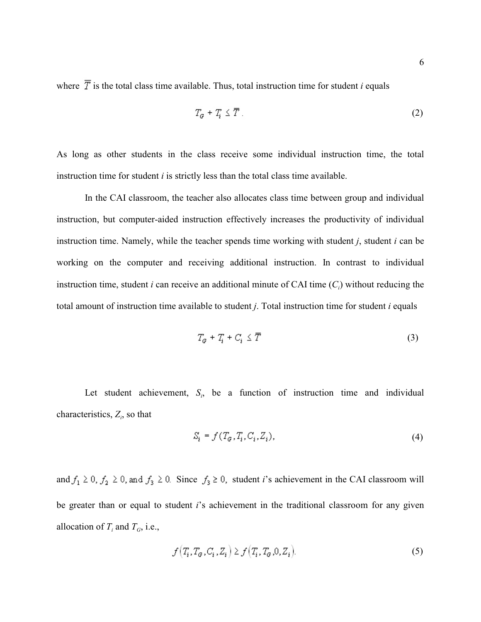where  $\overline{T}$  is the total class time available. Thus, total instruction time for student *i* equals

$$
T_{\sigma} + T_i \leq \overline{T} \tag{2}
$$

As long as other students in the class receive some individual instruction time, the total instruction time for student *i* is strictly less than the total class time available.

In the CAI classroom, the teacher also allocates class time between group and individual instruction, but computer-aided instruction effectively increases the productivity of individual instruction time. Namely, while the teacher spends time working with student *j*, student *i* can be working on the computer and receiving additional instruction. In contrast to individual instruction time, student *i* can receive an additional minute of CAI time  $(C_i)$  without reducing the total amount of instruction time available to student *j*. Total instruction time for student *i* equals

$$
T_G + T_i + C_i \leq \overline{T} \tag{3}
$$

Let student achievement,  $S_i$ , be a function of instruction time and individual characteristics,  $Z_i$ , so that

$$
S_i = f(T_G, T_i, C_i, Z_i),\tag{4}
$$

and  $f_1 \geq 0$ ,  $f_2 \geq 0$ , and  $f_3 \geq 0$ . Since  $f_3 \geq 0$ , student *i*'s achievement in the CAI classroom will be greater than or equal to student *i*'s achievement in the traditional classroom for any given allocation of  $T_i$  and  $T_G$ , i.e.,

$$
f\left(T_i, T_{\sigma}, C_i, Z_i\right) \ge f\left(T_i, T_{\sigma}, 0, Z_i\right). \tag{5}
$$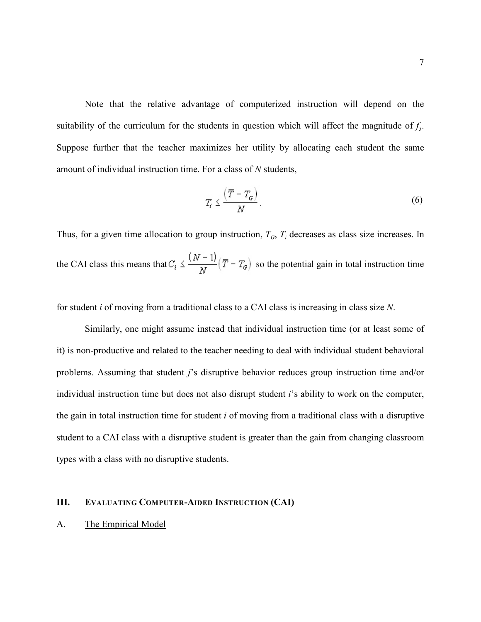Note that the relative advantage of computerized instruction will depend on the suitability of the curriculum for the students in question which will affect the magnitude of  $f_3$ . Suppose further that the teacher maximizes her utility by allocating each student the same amount of individual instruction time. For a class of *N* students,

$$
T_i \le \frac{\left(\overline{T} - T_{\alpha}\right)}{N}.
$$
\n<sup>(6)</sup>

Thus, for a given time allocation to group instruction,  $T_G$ ,  $T_i$  decreases as class size increases. In the CAI class this means that  $C_i \nleq \frac{(N-1)}{N} (\overline{T} - T_{\sigma})$  so the potential gain in total instruction time

for student *i* of moving from a traditional class to a CAI class is increasing in class size *N*.

Similarly, one might assume instead that individual instruction time (or at least some of it) is non-productive and related to the teacher needing to deal with individual student behavioral problems. Assuming that student *j*'s disruptive behavior reduces group instruction time and/or individual instruction time but does not also disrupt student *i*'s ability to work on the computer, the gain in total instruction time for student *i* of moving from a traditional class with a disruptive student to a CAI class with a disruptive student is greater than the gain from changing classroom types with a class with no disruptive students.

#### **III. EVALUATING COMPUTER-AIDED INSTRUCTION (CAI)**

#### A. The Empirical Model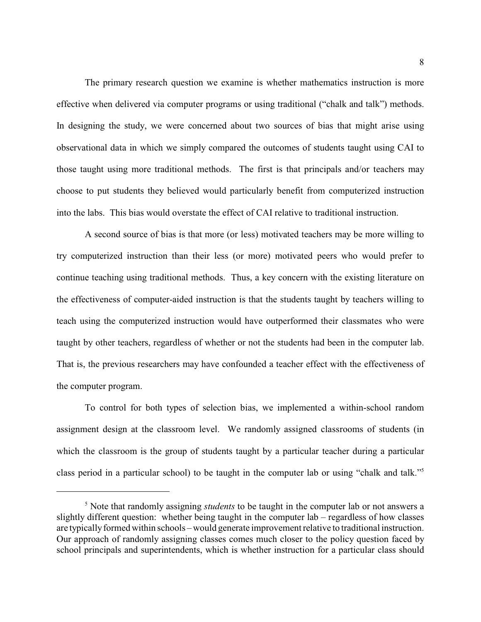The primary research question we examine is whether mathematics instruction is more effective when delivered via computer programs or using traditional ("chalk and talk") methods. In designing the study, we were concerned about two sources of bias that might arise using observational data in which we simply compared the outcomes of students taught using CAI to those taught using more traditional methods. The first is that principals and/or teachers may choose to put students they believed would particularly benefit from computerized instruction into the labs. This bias would overstate the effect of CAI relative to traditional instruction.

A second source of bias is that more (or less) motivated teachers may be more willing to try computerized instruction than their less (or more) motivated peers who would prefer to continue teaching using traditional methods. Thus, a key concern with the existing literature on the effectiveness of computer-aided instruction is that the students taught by teachers willing to teach using the computerized instruction would have outperformed their classmates who were taught by other teachers, regardless of whether or not the students had been in the computer lab. That is, the previous researchers may have confounded a teacher effect with the effectiveness of the computer program.

To control for both types of selection bias, we implemented a within-school random assignment design at the classroom level. We randomly assigned classrooms of students (in which the classroom is the group of students taught by a particular teacher during a particular class period in a particular school) to be taught in the computer lab or using "chalk and talk."5

<sup>&</sup>lt;sup>5</sup> Note that randomly assigning *students* to be taught in the computer lab or not answers a slightly different question: whether being taught in the computer lab – regardless of how classes are typically formed within schools – would generate improvement relative to traditional instruction. Our approach of randomly assigning classes comes much closer to the policy question faced by school principals and superintendents, which is whether instruction for a particular class should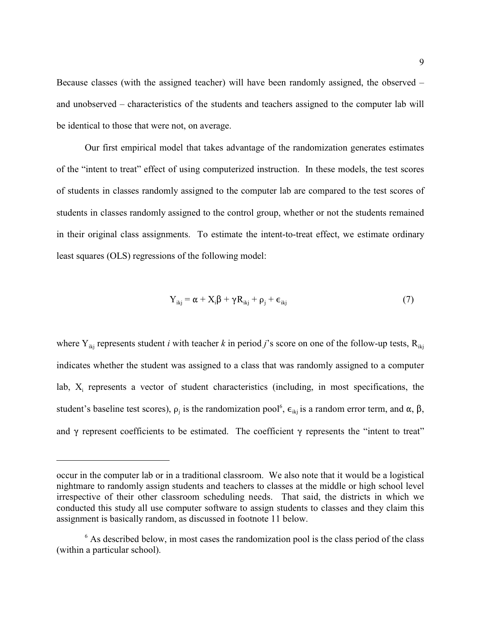Because classes (with the assigned teacher) will have been randomly assigned, the observed – and unobserved – characteristics of the students and teachers assigned to the computer lab will be identical to those that were not, on average.

Our first empirical model that takes advantage of the randomization generates estimates of the "intent to treat" effect of using computerized instruction. In these models, the test scores of students in classes randomly assigned to the computer lab are compared to the test scores of students in classes randomly assigned to the control group, whether or not the students remained in their original class assignments. To estimate the intent-to-treat effect, we estimate ordinary least squares (OLS) regressions of the following model:

$$
Y_{ikj} = \alpha + X_i \beta + \gamma R_{ikj} + \rho_j + \epsilon_{ikj}
$$
 (7)

where  $Y_{ikj}$  represents student *i* with teacher *k* in period *j*'s score on one of the follow-up tests,  $R_{ikj}$ indicates whether the student was assigned to a class that was randomly assigned to a computer lab,  $X_i$  represents a vector of student characteristics (including, in most specifications, the student's baseline test scores),  $\rho_j$  is the randomization pool<sup>6</sup>,  $\epsilon_{ikj}$  is a random error term, and  $\alpha$ ,  $\beta$ , and  $\gamma$  represent coefficients to be estimated. The coefficient  $\gamma$  represents the "intent to treat"

occur in the computer lab or in a traditional classroom. We also note that it would be a logistical nightmare to randomly assign students and teachers to classes at the middle or high school level irrespective of their other classroom scheduling needs. That said, the districts in which we conducted this study all use computer software to assign students to classes and they claim this assignment is basically random, as discussed in footnote 11 below.

 $6$  As described below, in most cases the randomization pool is the class period of the class (within a particular school).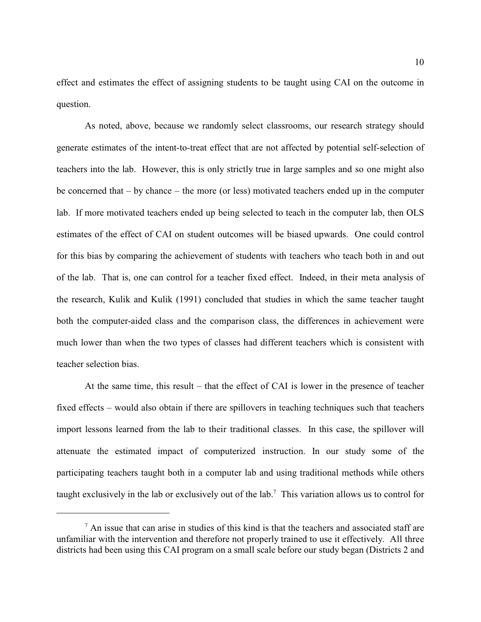effect and estimates the effect of assigning students to be taught using CAI on the outcome in question.

As noted, above, because we randomly select classrooms, our research strategy should generate estimates of the intent-to-treat effect that are not affected by potential self-selection of teachers into the lab. However, this is only strictly true in large samples and so one might also be concerned that – by chance – the more (or less) motivated teachers ended up in the computer lab. If more motivated teachers ended up being selected to teach in the computer lab, then OLS estimates of the effect of CAI on student outcomes will be biased upwards. One could control for this bias by comparing the achievement of students with teachers who teach both in and out of the lab. That is, one can control for a teacher fixed effect. Indeed, in their meta analysis of the research, Kulik and Kulik (1991) concluded that studies in which the same teacher taught both the computer-aided class and the comparison class, the differences in achievement were much lower than when the two types of classes had different teachers which is consistent with teacher selection bias.

At the same time, this result – that the effect of CAI is lower in the presence of teacher fixed effects – would also obtain if there are spillovers in teaching techniques such that teachers import lessons learned from the lab to their traditional classes. In this case, the spillover will attenuate the estimated impact of computerized instruction. In our study some of the participating teachers taught both in a computer lab and using traditional methods while others taught exclusively in the lab or exclusively out of the lab.<sup>7</sup> This variation allows us to control for

 $<sup>7</sup>$  An issue that can arise in studies of this kind is that the teachers and associated staff are</sup> unfamiliar with the intervention and therefore not properly trained to use it effectively. All three districts had been using this CAI program on a small scale before our study began (Districts 2 and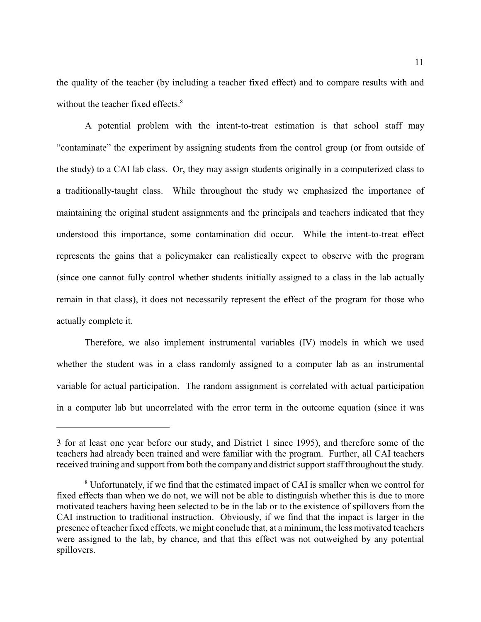the quality of the teacher (by including a teacher fixed effect) and to compare results with and without the teacher fixed effects.<sup>8</sup>

A potential problem with the intent-to-treat estimation is that school staff may "contaminate" the experiment by assigning students from the control group (or from outside of the study) to a CAI lab class. Or, they may assign students originally in a computerized class to a traditionally-taught class. While throughout the study we emphasized the importance of maintaining the original student assignments and the principals and teachers indicated that they understood this importance, some contamination did occur. While the intent-to-treat effect represents the gains that a policymaker can realistically expect to observe with the program (since one cannot fully control whether students initially assigned to a class in the lab actually remain in that class), it does not necessarily represent the effect of the program for those who actually complete it.

Therefore, we also implement instrumental variables (IV) models in which we used whether the student was in a class randomly assigned to a computer lab as an instrumental variable for actual participation. The random assignment is correlated with actual participation in a computer lab but uncorrelated with the error term in the outcome equation (since it was

<sup>3</sup> for at least one year before our study, and District 1 since 1995), and therefore some of the teachers had already been trained and were familiar with the program. Further, all CAI teachers received training and support from both the company and district support staff throughout the study.

Unfortunately, if we find that the estimated impact of CAI is smaller when we control for <sup>8</sup> fixed effects than when we do not, we will not be able to distinguish whether this is due to more motivated teachers having been selected to be in the lab or to the existence of spillovers from the CAI instruction to traditional instruction. Obviously, if we find that the impact is larger in the presence of teacher fixed effects, we might conclude that, at a minimum, the less motivated teachers were assigned to the lab, by chance, and that this effect was not outweighed by any potential spillovers.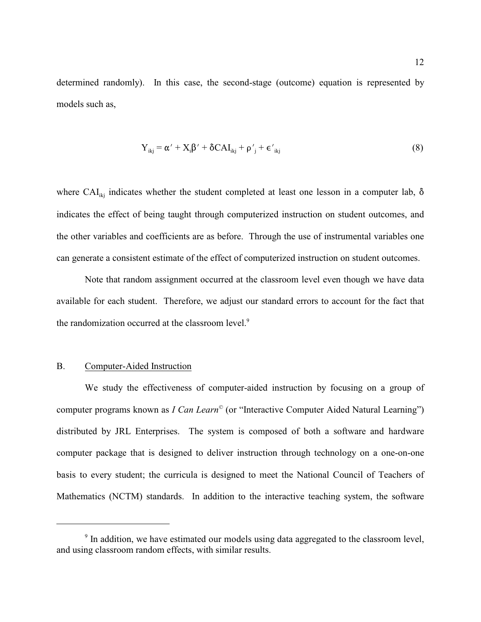determined randomly). In this case, the second-stage (outcome) equation is represented by models such as,

$$
Y_{ikj} = \alpha' + X_i \beta' + \delta C A I_{ikj} + \rho'_{j} + \epsilon'_{ikj}
$$
\n(8)

where CAI<sub>iki</sub> indicates whether the student completed at least one lesson in a computer lab,  $\delta$ indicates the effect of being taught through computerized instruction on student outcomes, and the other variables and coefficients are as before. Through the use of instrumental variables one can generate a consistent estimate of the effect of computerized instruction on student outcomes.

Note that random assignment occurred at the classroom level even though we have data available for each student. Therefore, we adjust our standard errors to account for the fact that the randomization occurred at the classroom level.<sup>9</sup>

#### B. Computer-Aided Instruction

We study the effectiveness of computer-aided instruction by focusing on a group of computer programs known as *I Can Learn*<sup>©</sup> (or "Interactive Computer Aided Natural Learning") distributed by JRL Enterprises. The system is composed of both a software and hardware computer package that is designed to deliver instruction through technology on a one-on-one basis to every student; the curricula is designed to meet the National Council of Teachers of Mathematics (NCTM) standards. In addition to the interactive teaching system, the software

<sup>&</sup>lt;sup>9</sup> In addition, we have estimated our models using data aggregated to the classroom level, and using classroom random effects, with similar results.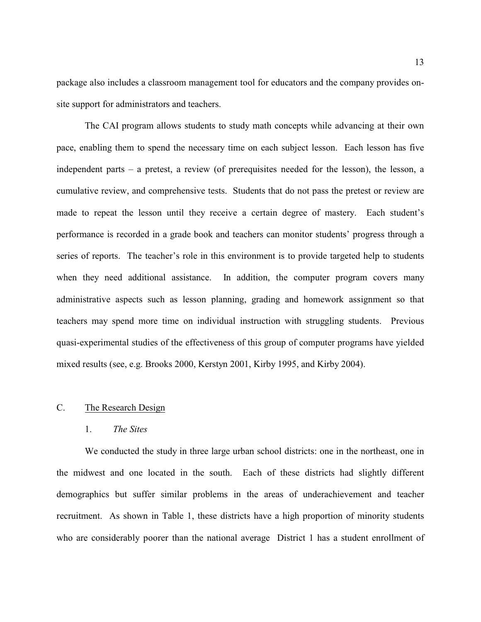package also includes a classroom management tool for educators and the company provides onsite support for administrators and teachers.

The CAI program allows students to study math concepts while advancing at their own pace, enabling them to spend the necessary time on each subject lesson. Each lesson has five independent parts – a pretest, a review (of prerequisites needed for the lesson), the lesson, a cumulative review, and comprehensive tests. Students that do not pass the pretest or review are made to repeat the lesson until they receive a certain degree of mastery. Each student's performance is recorded in a grade book and teachers can monitor students' progress through a series of reports. The teacher's role in this environment is to provide targeted help to students when they need additional assistance. In addition, the computer program covers many administrative aspects such as lesson planning, grading and homework assignment so that teachers may spend more time on individual instruction with struggling students. Previous quasi-experimental studies of the effectiveness of this group of computer programs have yielded mixed results (see, e.g. Brooks 2000, Kerstyn 2001, Kirby 1995, and Kirby 2004).

## C. The Research Design

#### 1. *The Sites*

We conducted the study in three large urban school districts: one in the northeast, one in the midwest and one located in the south. Each of these districts had slightly different demographics but suffer similar problems in the areas of underachievement and teacher recruitment. As shown in Table 1, these districts have a high proportion of minority students who are considerably poorer than the national average District 1 has a student enrollment of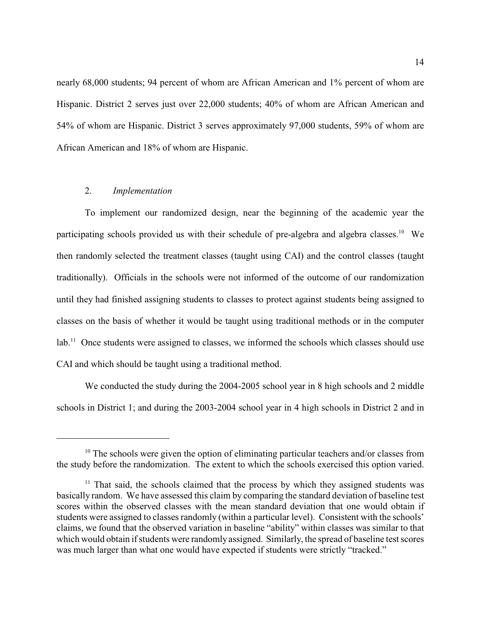nearly 68,000 students; 94 percent of whom are African American and 1% percent of whom are Hispanic. District 2 serves just over 22,000 students; 40% of whom are African American and 54% of whom are Hispanic. District 3 serves approximately 97,000 students, 59% of whom are African American and 18% of whom are Hispanic.

## 2. *Implementation*

To implement our randomized design, near the beginning of the academic year the participating schools provided us with their schedule of pre-algebra and algebra classes.<sup>10</sup> We then randomly selected the treatment classes (taught using CAI) and the control classes (taught traditionally). Officials in the schools were not informed of the outcome of our randomization until they had finished assigning students to classes to protect against students being assigned to classes on the basis of whether it would be taught using traditional methods or in the computer lab.<sup>11</sup> Once students were assigned to classes, we informed the schools which classes should use CAI and which should be taught using a traditional method.

We conducted the study during the 2004-2005 school year in 8 high schools and 2 middle schools in District 1; and during the 2003-2004 school year in 4 high schools in District 2 and in

 $10$  The schools were given the option of eliminating particular teachers and/or classes from the study before the randomization. The extent to which the schools exercised this option varied.

 $11$  That said, the schools claimed that the process by which they assigned students was basically random. We have assessed this claim by comparing the standard deviation of baseline test scores within the observed classes with the mean standard deviation that one would obtain if students were assigned to classes randomly (within a particular level). Consistent with the schools' claims, we found that the observed variation in baseline "ability" within classes was similar to that which would obtain if students were randomly assigned. Similarly, the spread of baseline test scores was much larger than what one would have expected if students were strictly "tracked."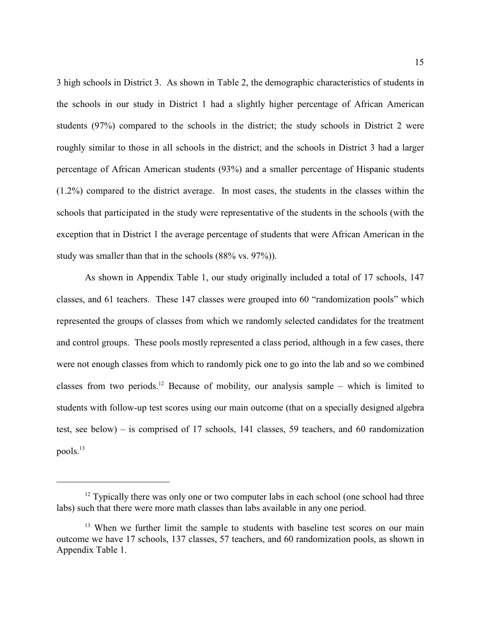3 high schools in District 3. As shown in Table 2, the demographic characteristics of students in the schools in our study in District 1 had a slightly higher percentage of African American students (97%) compared to the schools in the district; the study schools in District 2 were roughly similar to those in all schools in the district; and the schools in District 3 had a larger percentage of African American students (93%) and a smaller percentage of Hispanic students (1.2%) compared to the district average. In most cases, the students in the classes within the schools that participated in the study were representative of the students in the schools (with the exception that in District 1 the average percentage of students that were African American in the study was smaller than that in the schools (88% vs. 97%)).

As shown in Appendix Table 1, our study originally included a total of 17 schools, 147 classes, and 61 teachers. These 147 classes were grouped into 60 "randomization pools" which represented the groups of classes from which we randomly selected candidates for the treatment and control groups. These pools mostly represented a class period, although in a few cases, there were not enough classes from which to randomly pick one to go into the lab and so we combined classes from two periods.<sup>12</sup> Because of mobility, our analysis sample – which is limited to students with follow-up test scores using our main outcome (that on a specially designed algebra test, see below) – is comprised of 17 schools, 141 classes, 59 teachers, and 60 randomization pools. 13

 $12$  Typically there was only one or two computer labs in each school (one school had three labs) such that there were more math classes than labs available in any one period.

<sup>&</sup>lt;sup>13</sup> When we further limit the sample to students with baseline test scores on our main outcome we have 17 schools, 137 classes, 57 teachers, and 60 randomization pools, as shown in Appendix Table 1.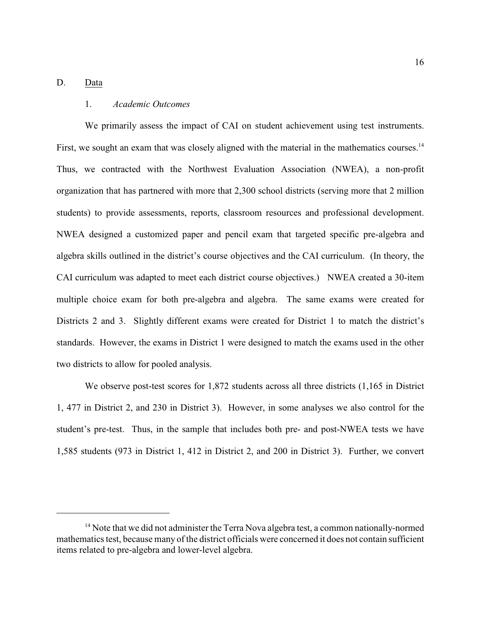## D. Data

#### 1. *Academic Outcomes*

We primarily assess the impact of CAI on student achievement using test instruments. First, we sought an exam that was closely aligned with the material in the mathematics courses.<sup>14</sup> Thus, we contracted with the Northwest Evaluation Association (NWEA), a non-profit organization that has partnered with more that 2,300 school districts (serving more that 2 million students) to provide assessments, reports, classroom resources and professional development. NWEA designed a customized paper and pencil exam that targeted specific pre-algebra and algebra skills outlined in the district's course objectives and the CAI curriculum. (In theory, the CAI curriculum was adapted to meet each district course objectives.) NWEA created a 30-item multiple choice exam for both pre-algebra and algebra. The same exams were created for Districts 2 and 3. Slightly different exams were created for District 1 to match the district's standards. However, the exams in District 1 were designed to match the exams used in the other two districts to allow for pooled analysis.

We observe post-test scores for 1,872 students across all three districts (1,165 in District 1, 477 in District 2, and 230 in District 3). However, in some analyses we also control for the student's pre-test. Thus, in the sample that includes both pre- and post-NWEA tests we have 1,585 students (973 in District 1, 412 in District 2, and 200 in District 3). Further, we convert

 $14$  Note that we did not administer the Terra Nova algebra test, a common nationally-normed mathematics test, because many of the district officials were concerned it does not contain sufficient items related to pre-algebra and lower-level algebra.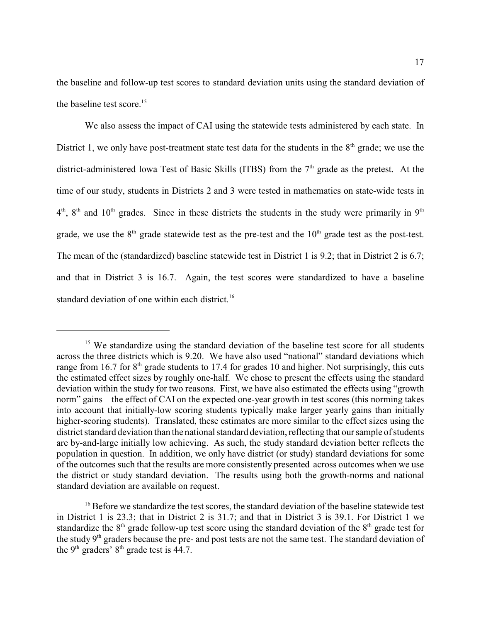the baseline and follow-up test scores to standard deviation units using the standard deviation of the baseline test score. 15

We also assess the impact of CAI using the statewide tests administered by each state. In District 1, we only have post-treatment state test data for the students in the  $8<sup>th</sup>$  grade; we use the district-administered Iowa Test of Basic Skills (ITBS) from the  $7<sup>th</sup>$  grade as the pretest. At the time of our study, students in Districts 2 and 3 were tested in mathematics on state-wide tests in  $4<sup>th</sup>$ ,  $8<sup>th</sup>$  and  $10<sup>th</sup>$  grades. Since in these districts the students in the study were primarily in  $9<sup>th</sup>$ grade, we use the  $8<sup>th</sup>$  grade statewide test as the pre-test and the  $10<sup>th</sup>$  grade test as the post-test. The mean of the (standardized) baseline statewide test in District 1 is 9.2; that in District 2 is 6.7; and that in District 3 is 16.7. Again, the test scores were standardized to have a baseline standard deviation of one within each district.<sup>16</sup>

<sup>&</sup>lt;sup>15</sup> We standardize using the standard deviation of the baseline test score for all students across the three districts which is 9.20. We have also used "national" standard deviations which range from 16.7 for  $8<sup>th</sup>$  grade students to 17.4 for grades 10 and higher. Not surprisingly, this cuts the estimated effect sizes by roughly one-half. We chose to present the effects using the standard deviation within the study for two reasons. First, we have also estimated the effects using "growth norm" gains – the effect of CAI on the expected one-year growth in test scores (this norming takes into account that initially-low scoring students typically make larger yearly gains than initially higher-scoring students). Translated, these estimates are more similar to the effect sizes using the district standard deviation than the national standard deviation, reflecting that our sample of students are by-and-large initially low achieving. As such, the study standard deviation better reflects the population in question. In addition, we only have district (or study) standard deviations for some of the outcomes such that the results are more consistently presented across outcomes when we use the district or study standard deviation. The results using both the growth-norms and national standard deviation are available on request.

 $16$  Before we standardize the test scores, the standard deviation of the baseline statewide test in District 1 is 23.3; that in District 2 is 31.7; and that in District 3 is 39.1. For District 1 we standardize the  $8<sup>th</sup>$  grade follow-up test score using the standard deviation of the  $8<sup>th</sup>$  grade test for the study 9<sup>th</sup> graders because the pre- and post tests are not the same test. The standard deviation of the 9<sup>th</sup> graders'  $8<sup>th</sup>$  grade test is 44.7.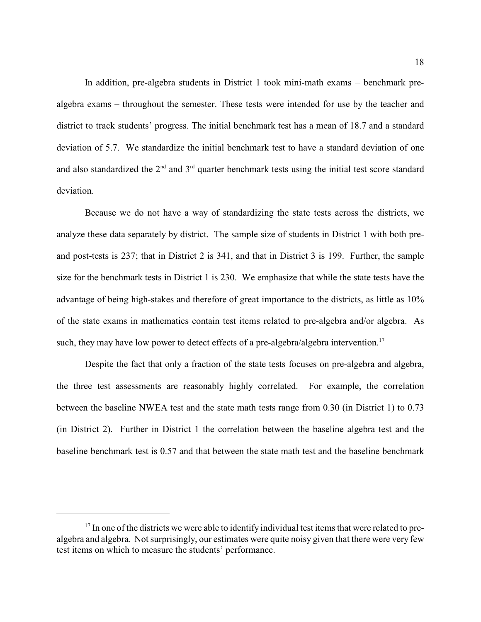In addition, pre-algebra students in District 1 took mini-math exams – benchmark prealgebra exams – throughout the semester. These tests were intended for use by the teacher and district to track students' progress. The initial benchmark test has a mean of 18.7 and a standard deviation of 5.7. We standardize the initial benchmark test to have a standard deviation of one and also standardized the  $2<sup>nd</sup>$  and  $3<sup>rd</sup>$  quarter benchmark tests using the initial test score standard deviation.

Because we do not have a way of standardizing the state tests across the districts, we analyze these data separately by district. The sample size of students in District 1 with both preand post-tests is 237; that in District 2 is 341, and that in District 3 is 199. Further, the sample size for the benchmark tests in District 1 is 230. We emphasize that while the state tests have the advantage of being high-stakes and therefore of great importance to the districts, as little as 10% of the state exams in mathematics contain test items related to pre-algebra and/or algebra. As such, they may have low power to detect effects of a pre-algebra/algebra intervention.<sup>17</sup>

Despite the fact that only a fraction of the state tests focuses on pre-algebra and algebra, the three test assessments are reasonably highly correlated. For example, the correlation between the baseline NWEA test and the state math tests range from 0.30 (in District 1) to 0.73 (in District 2). Further in District 1 the correlation between the baseline algebra test and the baseline benchmark test is 0.57 and that between the state math test and the baseline benchmark

 $17$  In one of the districts we were able to identify individual test items that were related to prealgebra and algebra. Not surprisingly, our estimates were quite noisy given that there were very few test items on which to measure the students' performance.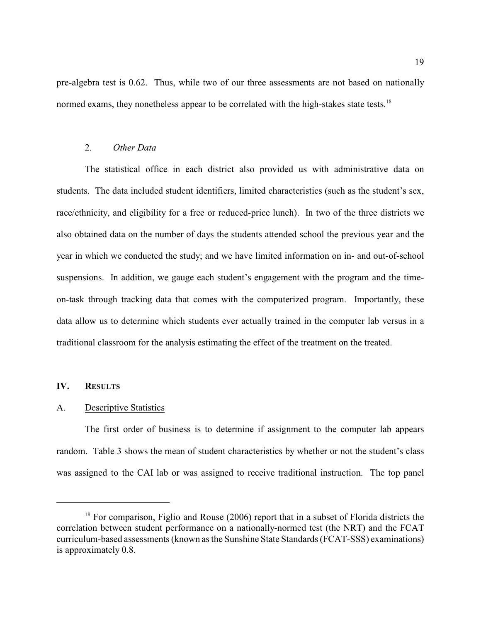pre-algebra test is 0.62. Thus, while two of our three assessments are not based on nationally normed exams, they nonetheless appear to be correlated with the high-stakes state tests.<sup>18</sup>

#### 2. *Other Data*

The statistical office in each district also provided us with administrative data on students. The data included student identifiers, limited characteristics (such as the student's sex, race/ethnicity, and eligibility for a free or reduced-price lunch). In two of the three districts we also obtained data on the number of days the students attended school the previous year and the year in which we conducted the study; and we have limited information on in- and out-of-school suspensions. In addition, we gauge each student's engagement with the program and the timeon-task through tracking data that comes with the computerized program. Importantly, these data allow us to determine which students ever actually trained in the computer lab versus in a traditional classroom for the analysis estimating the effect of the treatment on the treated.

#### **IV. RESULTS**

#### A. Descriptive Statistics

The first order of business is to determine if assignment to the computer lab appears random. Table 3 shows the mean of student characteristics by whether or not the student's class was assigned to the CAI lab or was assigned to receive traditional instruction. The top panel

 $18$  For comparison, Figlio and Rouse (2006) report that in a subset of Florida districts the correlation between student performance on a nationally-normed test (the NRT) and the FCAT curriculum-based assessments(known as the Sunshine State Standards (FCAT-SSS) examinations) is approximately 0.8.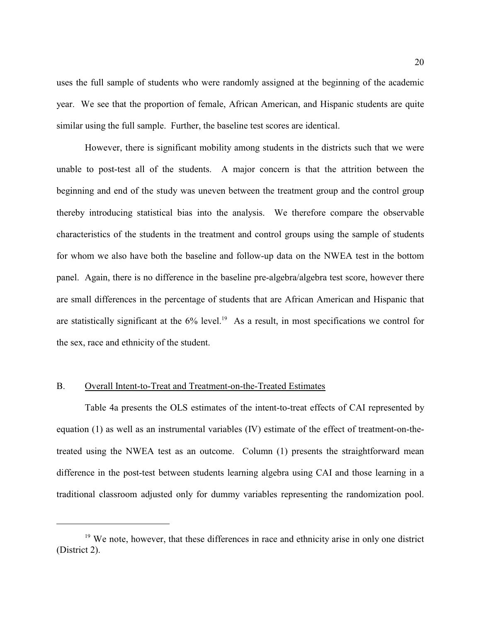uses the full sample of students who were randomly assigned at the beginning of the academic year. We see that the proportion of female, African American, and Hispanic students are quite similar using the full sample. Further, the baseline test scores are identical.

However, there is significant mobility among students in the districts such that we were unable to post-test all of the students. A major concern is that the attrition between the beginning and end of the study was uneven between the treatment group and the control group thereby introducing statistical bias into the analysis. We therefore compare the observable characteristics of the students in the treatment and control groups using the sample of students for whom we also have both the baseline and follow-up data on the NWEA test in the bottom panel. Again, there is no difference in the baseline pre-algebra/algebra test score, however there are small differences in the percentage of students that are African American and Hispanic that are statistically significant at the  $6\%$  level.<sup>19</sup> As a result, in most specifications we control for the sex, race and ethnicity of the student.

## B. Overall Intent-to-Treat and Treatment-on-the-Treated Estimates

Table 4a presents the OLS estimates of the intent-to-treat effects of CAI represented by equation (1) as well as an instrumental variables (IV) estimate of the effect of treatment-on-thetreated using the NWEA test as an outcome. Column (1) presents the straightforward mean difference in the post-test between students learning algebra using CAI and those learning in a traditional classroom adjusted only for dummy variables representing the randomization pool.

<sup>&</sup>lt;sup>19</sup> We note, however, that these differences in race and ethnicity arise in only one district (District 2).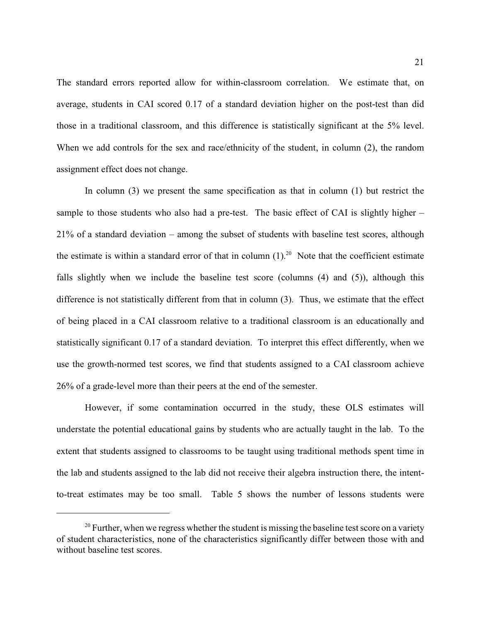The standard errors reported allow for within-classroom correlation. We estimate that, on average, students in CAI scored 0.17 of a standard deviation higher on the post-test than did those in a traditional classroom, and this difference is statistically significant at the 5% level. When we add controls for the sex and race/ethnicity of the student, in column (2), the random assignment effect does not change.

In column (3) we present the same specification as that in column (1) but restrict the sample to those students who also had a pre-test. The basic effect of CAI is slightly higher – 21% of a standard deviation – among the subset of students with baseline test scores, although the estimate is within a standard error of that in column  $(1)$ .<sup>20</sup> Note that the coefficient estimate falls slightly when we include the baseline test score (columns (4) and (5)), although this difference is not statistically different from that in column (3). Thus, we estimate that the effect of being placed in a CAI classroom relative to a traditional classroom is an educationally and statistically significant 0.17 of a standard deviation. To interpret this effect differently, when we use the growth-normed test scores, we find that students assigned to a CAI classroom achieve 26% of a grade-level more than their peers at the end of the semester.

However, if some contamination occurred in the study, these OLS estimates will understate the potential educational gains by students who are actually taught in the lab. To the extent that students assigned to classrooms to be taught using traditional methods spent time in the lab and students assigned to the lab did not receive their algebra instruction there, the intentto-treat estimates may be too small. Table 5 shows the number of lessons students were

 $^{20}$  Further, when we regress whether the student is missing the baseline test score on a variety of student characteristics, none of the characteristics significantly differ between those with and without baseline test scores.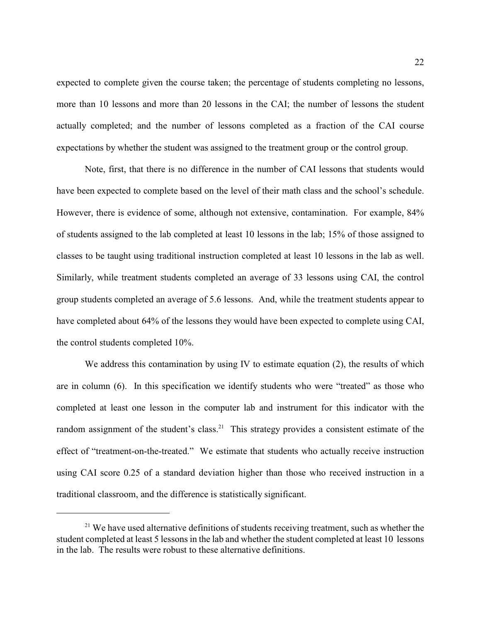expected to complete given the course taken; the percentage of students completing no lessons, more than 10 lessons and more than 20 lessons in the CAI; the number of lessons the student actually completed; and the number of lessons completed as a fraction of the CAI course expectations by whether the student was assigned to the treatment group or the control group.

Note, first, that there is no difference in the number of CAI lessons that students would have been expected to complete based on the level of their math class and the school's schedule. However, there is evidence of some, although not extensive, contamination. For example, 84% of students assigned to the lab completed at least 10 lessons in the lab; 15% of those assigned to classes to be taught using traditional instruction completed at least 10 lessons in the lab as well. Similarly, while treatment students completed an average of 33 lessons using CAI, the control group students completed an average of 5.6 lessons. And, while the treatment students appear to have completed about 64% of the lessons they would have been expected to complete using CAI, the control students completed 10%.

We address this contamination by using IV to estimate equation  $(2)$ , the results of which are in column (6). In this specification we identify students who were "treated" as those who completed at least one lesson in the computer lab and instrument for this indicator with the random assignment of the student's class.<sup>21</sup> This strategy provides a consistent estimate of the effect of "treatment-on-the-treated." We estimate that students who actually receive instruction using CAI score 0.25 of a standard deviation higher than those who received instruction in a traditional classroom, and the difference is statistically significant.

 $21$  We have used alternative definitions of students receiving treatment, such as whether the student completed at least 5 lessons in the lab and whether the student completed at least 10 lessons in the lab. The results were robust to these alternative definitions.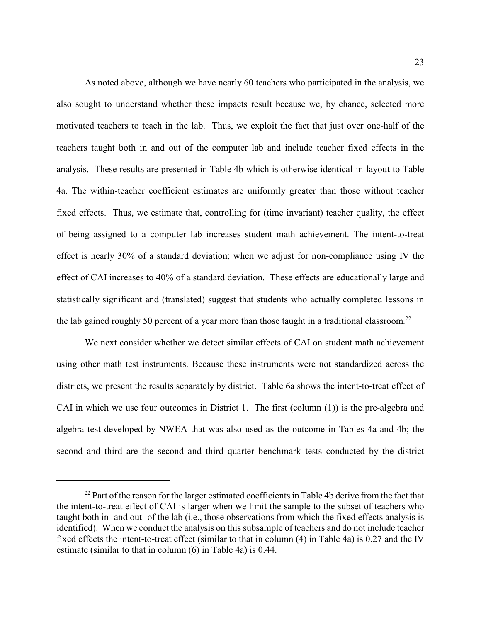As noted above, although we have nearly 60 teachers who participated in the analysis, we also sought to understand whether these impacts result because we, by chance, selected more motivated teachers to teach in the lab. Thus, we exploit the fact that just over one-half of the teachers taught both in and out of the computer lab and include teacher fixed effects in the analysis. These results are presented in Table 4b which is otherwise identical in layout to Table 4a. The within-teacher coefficient estimates are uniformly greater than those without teacher fixed effects. Thus, we estimate that, controlling for (time invariant) teacher quality, the effect of being assigned to a computer lab increases student math achievement. The intent-to-treat effect is nearly 30% of a standard deviation; when we adjust for non-compliance using IV the effect of CAI increases to 40% of a standard deviation. These effects are educationally large and statistically significant and (translated) suggest that students who actually completed lessons in the lab gained roughly 50 percent of a year more than those taught in a traditional classroom*.* 22

We next consider whether we detect similar effects of CAI on student math achievement using other math test instruments. Because these instruments were not standardized across the districts, we present the results separately by district. Table 6a shows the intent-to-treat effect of CAI in which we use four outcomes in District 1. The first (column (1)) is the pre-algebra and algebra test developed by NWEA that was also used as the outcome in Tables 4a and 4b; the second and third are the second and third quarter benchmark tests conducted by the district

 $22$  Part of the reason for the larger estimated coefficients in Table 4b derive from the fact that the intent-to-treat effect of CAI is larger when we limit the sample to the subset of teachers who taught both in- and out- of the lab (i.e., those observations from which the fixed effects analysis is identified). When we conduct the analysis on this subsample of teachers and do not include teacher fixed effects the intent-to-treat effect (similar to that in column (4) in Table 4a) is 0.27 and the IV estimate (similar to that in column (6) in Table 4a) is 0.44.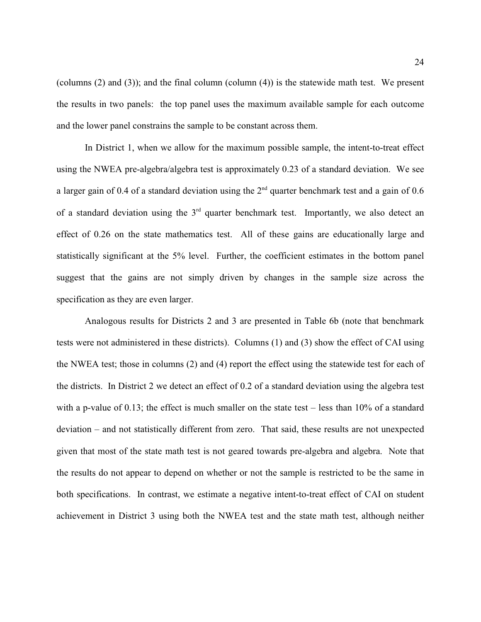(columns (2) and (3)); and the final column (column (4)) is the statewide math test. We present the results in two panels: the top panel uses the maximum available sample for each outcome and the lower panel constrains the sample to be constant across them.

In District 1, when we allow for the maximum possible sample, the intent-to-treat effect using the NWEA pre-algebra/algebra test is approximately 0.23 of a standard deviation. We see a larger gain of 0.4 of a standard deviation using the  $2<sup>nd</sup>$  quarter benchmark test and a gain of 0.6 of a standard deviation using the  $3<sup>rd</sup>$  quarter benchmark test. Importantly, we also detect an effect of 0.26 on the state mathematics test. All of these gains are educationally large and statistically significant at the 5% level. Further, the coefficient estimates in the bottom panel suggest that the gains are not simply driven by changes in the sample size across the specification as they are even larger.

Analogous results for Districts 2 and 3 are presented in Table 6b (note that benchmark tests were not administered in these districts). Columns (1) and (3) show the effect of CAI using the NWEA test; those in columns (2) and (4) report the effect using the statewide test for each of the districts. In District 2 we detect an effect of 0.2 of a standard deviation using the algebra test with a p-value of 0.13; the effect is much smaller on the state test – less than 10% of a standard deviation – and not statistically different from zero. That said, these results are not unexpected given that most of the state math test is not geared towards pre-algebra and algebra. Note that the results do not appear to depend on whether or not the sample is restricted to be the same in both specifications. In contrast, we estimate a negative intent-to-treat effect of CAI on student achievement in District 3 using both the NWEA test and the state math test, although neither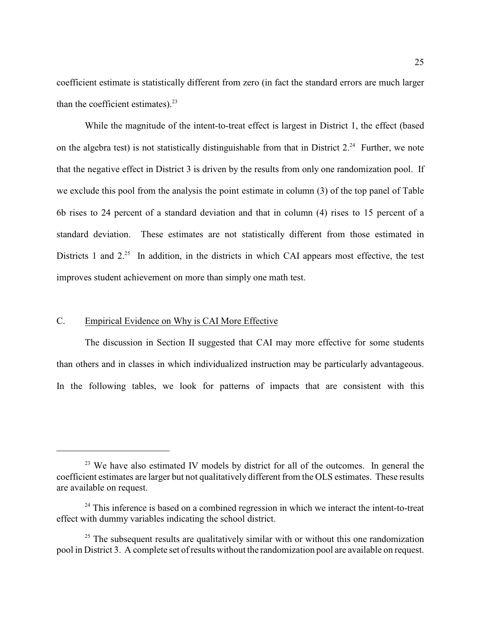coefficient estimate is statistically different from zero (in fact the standard errors are much larger than the coefficient estimates). $2<sup>3</sup>$ 

While the magnitude of the intent-to-treat effect is largest in District 1, the effect (based on the algebra test) is not statistically distinguishable from that in District  $2.^{24}$  Further, we note that the negative effect in District 3 is driven by the results from only one randomization pool. If we exclude this pool from the analysis the point estimate in column (3) of the top panel of Table 6b rises to 24 percent of a standard deviation and that in column (4) rises to 15 percent of a standard deviation. These estimates are not statistically different from those estimated in Districts 1 and  $2^{25}$  In addition, in the districts in which CAI appears most effective, the test improves student achievement on more than simply one math test.

#### C. Empirical Evidence on Why is CAI More Effective

The discussion in Section II suggested that CAI may more effective for some students than others and in classes in which individualized instruction may be particularly advantageous. In the following tables, we look for patterns of impacts that are consistent with this

 $23$  We have also estimated IV models by district for all of the outcomes. In general the coefficient estimates are larger but not qualitatively different from the OLS estimates. These results are available on request.

 $24$  This inference is based on a combined regression in which we interact the intent-to-treat effect with dummy variables indicating the school district.

 $25$  The subsequent results are qualitatively similar with or without this one randomization pool in District 3. A complete set ofresults without the randomization pool are available on request.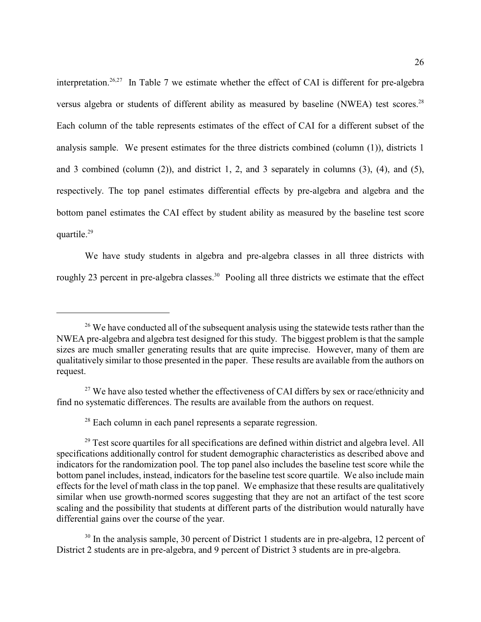interpretation.<sup>26,27</sup> In Table 7 we estimate whether the effect of CAI is different for pre-algebra versus algebra or students of different ability as measured by baseline (NWEA) test scores.<sup>28</sup> Each column of the table represents estimates of the effect of CAI for a different subset of the analysis sample. We present estimates for the three districts combined (column (1)), districts 1 and 3 combined (column (2)), and district 1, 2, and 3 separately in columns (3), (4), and (5), respectively. The top panel estimates differential effects by pre-algebra and algebra and the bottom panel estimates the CAI effect by student ability as measured by the baseline test score quartile.<sup>29</sup>

We have study students in algebra and pre-algebra classes in all three districts with roughly 23 percent in pre-algebra classes.<sup>30</sup> Pooling all three districts we estimate that the effect

 $26$  We have conducted all of the subsequent analysis using the statewide tests rather than the NWEA pre-algebra and algebra test designed for this study. The biggest problem is that the sample sizes are much smaller generating results that are quite imprecise. However, many of them are qualitatively similar to those presented in the paper. These results are available from the authors on request.

 $27$  We have also tested whether the effectiveness of CAI differs by sex or race/ethnicity and find no systematic differences. The results are available from the authors on request.

 $28$  Each column in each panel represents a separate regression.

 $29$  Test score quartiles for all specifications are defined within district and algebra level. All specifications additionally control for student demographic characteristics as described above and indicators for the randomization pool. The top panel also includes the baseline test score while the bottom panel includes, instead, indicators for the baseline test score quartile. We also include main effects for the level of math class in the top panel. We emphasize that these results are qualitatively similar when use growth-normed scores suggesting that they are not an artifact of the test score scaling and the possibility that students at different parts of the distribution would naturally have differential gains over the course of the year.

 $30$  In the analysis sample, 30 percent of District 1 students are in pre-algebra, 12 percent of District 2 students are in pre-algebra, and 9 percent of District 3 students are in pre-algebra.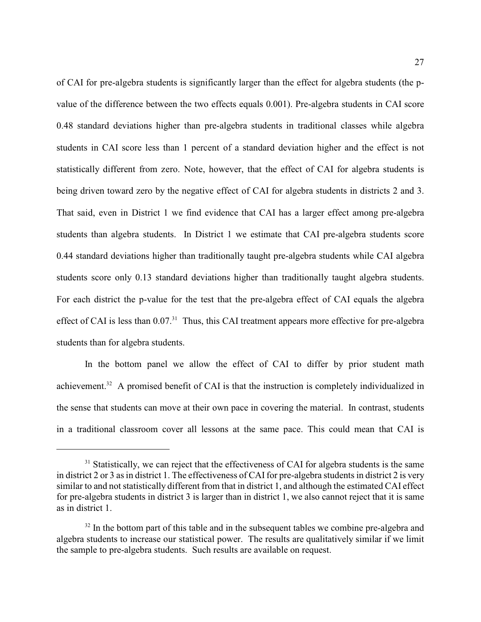of CAI for pre-algebra students is significantly larger than the effect for algebra students (the pvalue of the difference between the two effects equals 0.001). Pre-algebra students in CAI score 0.48 standard deviations higher than pre-algebra students in traditional classes while algebra students in CAI score less than 1 percent of a standard deviation higher and the effect is not statistically different from zero. Note, however, that the effect of CAI for algebra students is being driven toward zero by the negative effect of CAI for algebra students in districts 2 and 3. That said, even in District 1 we find evidence that CAI has a larger effect among pre-algebra students than algebra students. In District 1 we estimate that CAI pre-algebra students score 0.44 standard deviations higher than traditionally taught pre-algebra students while CAI algebra students score only 0.13 standard deviations higher than traditionally taught algebra students. For each district the p-value for the test that the pre-algebra effect of CAI equals the algebra effect of CAI is less than  $0.07<sup>31</sup>$ . Thus, this CAI treatment appears more effective for pre-algebra students than for algebra students.

In the bottom panel we allow the effect of CAI to differ by prior student math achievement.<sup>32</sup> A promised benefit of CAI is that the instruction is completely individualized in the sense that students can move at their own pace in covering the material. In contrast, students in a traditional classroom cover all lessons at the same pace. This could mean that CAI is

 $31$  Statistically, we can reject that the effectiveness of CAI for algebra students is the same in district 2 or 3 as in district 1. The effectiveness of CAI for pre-algebra students in district 2 is very similar to and not statistically different from that in district 1, and although the estimated CAI effect for pre-algebra students in district 3 is larger than in district 1, we also cannot reject that it is same as in district 1.

 $32$  In the bottom part of this table and in the subsequent tables we combine pre-algebra and algebra students to increase our statistical power. The results are qualitatively similar if we limit the sample to pre-algebra students. Such results are available on request.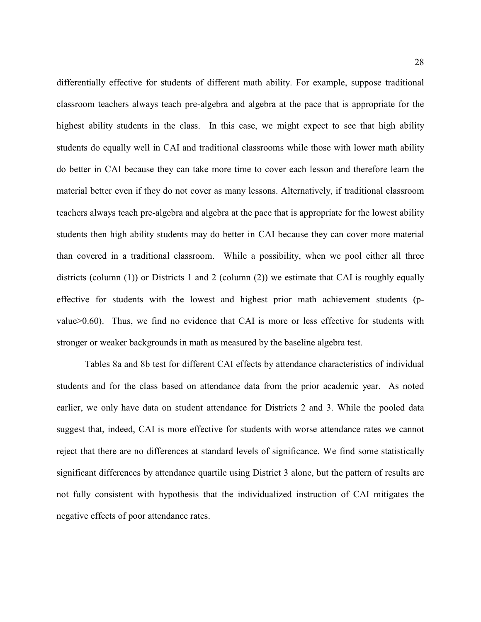differentially effective for students of different math ability. For example, suppose traditional classroom teachers always teach pre-algebra and algebra at the pace that is appropriate for the highest ability students in the class. In this case, we might expect to see that high ability students do equally well in CAI and traditional classrooms while those with lower math ability do better in CAI because they can take more time to cover each lesson and therefore learn the material better even if they do not cover as many lessons. Alternatively, if traditional classroom teachers always teach pre-algebra and algebra at the pace that is appropriate for the lowest ability students then high ability students may do better in CAI because they can cover more material than covered in a traditional classroom. While a possibility, when we pool either all three districts (column (1)) or Districts 1 and 2 (column (2)) we estimate that CAI is roughly equally effective for students with the lowest and highest prior math achievement students (pvalue>0.60). Thus, we find no evidence that CAI is more or less effective for students with stronger or weaker backgrounds in math as measured by the baseline algebra test.

Tables 8a and 8b test for different CAI effects by attendance characteristics of individual students and for the class based on attendance data from the prior academic year. As noted earlier, we only have data on student attendance for Districts 2 and 3. While the pooled data suggest that, indeed, CAI is more effective for students with worse attendance rates we cannot reject that there are no differences at standard levels of significance. We find some statistically significant differences by attendance quartile using District 3 alone, but the pattern of results are not fully consistent with hypothesis that the individualized instruction of CAI mitigates the negative effects of poor attendance rates.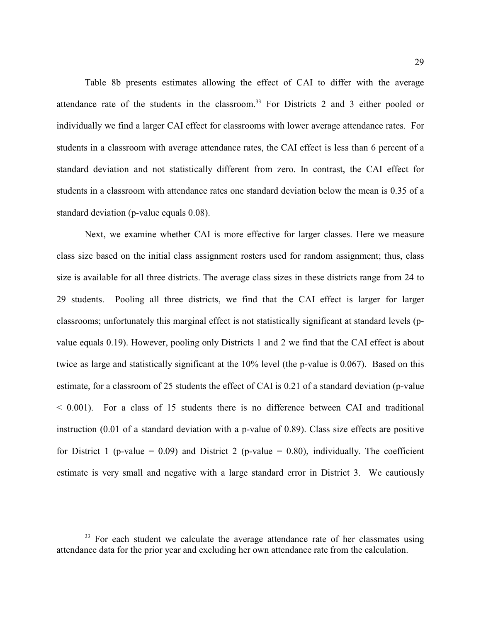Table 8b presents estimates allowing the effect of CAI to differ with the average attendance rate of the students in the classroom.<sup>33</sup> For Districts 2 and 3 either pooled or individually we find a larger CAI effect for classrooms with lower average attendance rates. For students in a classroom with average attendance rates, the CAI effect is less than 6 percent of a standard deviation and not statistically different from zero. In contrast, the CAI effect for students in a classroom with attendance rates one standard deviation below the mean is 0.35 of a standard deviation (p-value equals 0.08).

Next, we examine whether CAI is more effective for larger classes. Here we measure class size based on the initial class assignment rosters used for random assignment; thus, class size is available for all three districts. The average class sizes in these districts range from 24 to 29 students. Pooling all three districts, we find that the CAI effect is larger for larger classrooms; unfortunately this marginal effect is not statistically significant at standard levels (pvalue equals 0.19). However, pooling only Districts 1 and 2 we find that the CAI effect is about twice as large and statistically significant at the 10% level (the p-value is 0.067). Based on this estimate, for a classroom of 25 students the effect of CAI is 0.21 of a standard deviation (p-value < 0.001). For a class of 15 students there is no difference between CAI and traditional instruction (0.01 of a standard deviation with a p-value of 0.89). Class size effects are positive for District 1 (p-value = 0.09) and District 2 (p-value = 0.80), individually. The coefficient estimate is very small and negative with a large standard error in District 3. We cautiously

 $33$  For each student we calculate the average attendance rate of her classmates using attendance data for the prior year and excluding her own attendance rate from the calculation.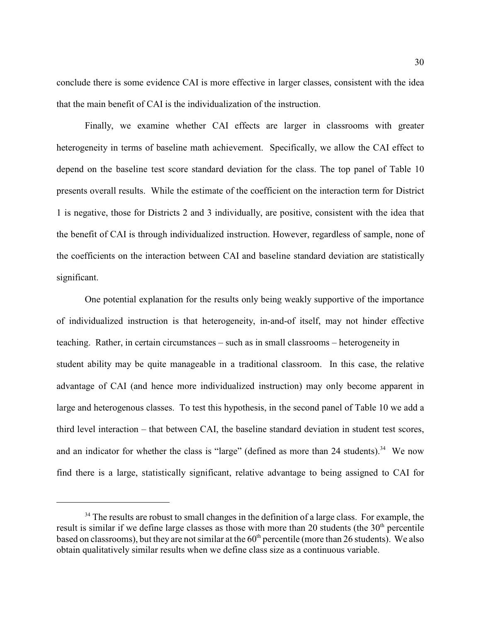conclude there is some evidence CAI is more effective in larger classes, consistent with the idea that the main benefit of CAI is the individualization of the instruction.

Finally, we examine whether CAI effects are larger in classrooms with greater heterogeneity in terms of baseline math achievement. Specifically, we allow the CAI effect to depend on the baseline test score standard deviation for the class. The top panel of Table 10 presents overall results. While the estimate of the coefficient on the interaction term for District 1 is negative, those for Districts 2 and 3 individually, are positive, consistent with the idea that the benefit of CAI is through individualized instruction. However, regardless of sample, none of the coefficients on the interaction between CAI and baseline standard deviation are statistically significant.

One potential explanation for the results only being weakly supportive of the importance of individualized instruction is that heterogeneity, in-and-of itself, may not hinder effective teaching. Rather, in certain circumstances – such as in small classrooms – heterogeneity in student ability may be quite manageable in a traditional classroom. In this case, the relative advantage of CAI (and hence more individualized instruction) may only become apparent in large and heterogenous classes. To test this hypothesis, in the second panel of Table 10 we add a third level interaction – that between CAI, the baseline standard deviation in student test scores, and an indicator for whether the class is "large" (defined as more than 24 students).<sup>34</sup> We now find there is a large, statistically significant, relative advantage to being assigned to CAI for

 $34$  The results are robust to small changes in the definition of a large class. For example, the result is similar if we define large classes as those with more than 20 students (the 30<sup>th</sup> percentile based on classrooms), but they are not similar at the  $60<sup>th</sup>$  percentile (more than 26 students). We also obtain qualitatively similar results when we define class size as a continuous variable.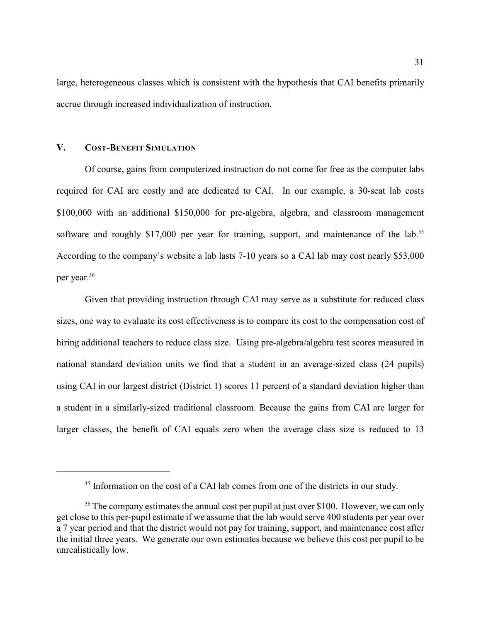large, heterogeneous classes which is consistent with the hypothesis that CAI benefits primarily accrue through increased individualization of instruction.

## **V. COST-BENEFIT SIMULATION**

Of course, gains from computerized instruction do not come for free as the computer labs required for CAI are costly and are dedicated to CAI. In our example, a 30-seat lab costs \$100,000 with an additional \$150,000 for pre-algebra, algebra, and classroom management software and roughly \$17,000 per year for training, support, and maintenance of the lab.<sup>35</sup> According to the company's website a lab lasts 7-10 years so a CAI lab may cost nearly \$53,000 per year. 36

Given that providing instruction through CAI may serve as a substitute for reduced class sizes, one way to evaluate its cost effectiveness is to compare its cost to the compensation cost of hiring additional teachers to reduce class size. Using pre-algebra/algebra test scores measured in national standard deviation units we find that a student in an average-sized class (24 pupils) using CAI in our largest district (District 1) scores 11 percent of a standard deviation higher than a student in a similarly-sized traditional classroom. Because the gains from CAI are larger for larger classes, the benefit of CAI equals zero when the average class size is reduced to 13

<sup>&</sup>lt;sup>35</sup> Information on the cost of a CAI lab comes from one of the districts in our study.

 $36$  The company estimates the annual cost per pupil at just over \$100. However, we can only get close to this per-pupil estimate if we assume that the lab would serve 400 students per year over a 7 year period and that the district would not pay for training, support, and maintenance cost after the initial three years. We generate our own estimates because we believe this cost per pupil to be unrealistically low.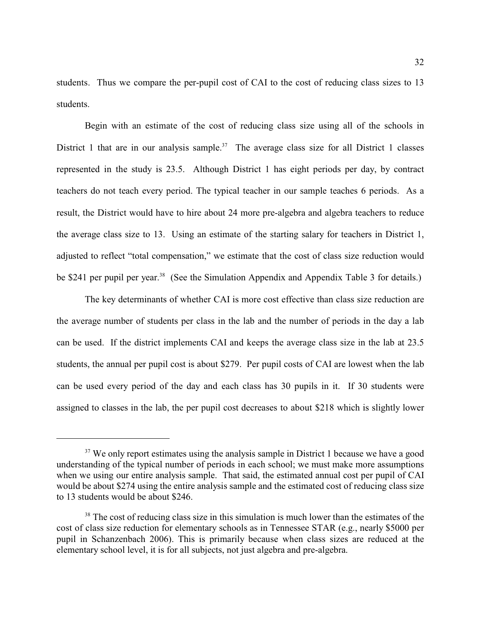students. Thus we compare the per-pupil cost of CAI to the cost of reducing class sizes to 13 students.

Begin with an estimate of the cost of reducing class size using all of the schools in District 1 that are in our analysis sample.<sup>37</sup> The average class size for all District 1 classes represented in the study is 23.5. Although District 1 has eight periods per day, by contract teachers do not teach every period. The typical teacher in our sample teaches 6 periods. As a result, the District would have to hire about 24 more pre-algebra and algebra teachers to reduce the average class size to 13. Using an estimate of the starting salary for teachers in District 1, adjusted to reflect "total compensation," we estimate that the cost of class size reduction would be \$241 per pupil per year.<sup>38</sup> (See the Simulation Appendix and Appendix Table 3 for details.)

The key determinants of whether CAI is more cost effective than class size reduction are the average number of students per class in the lab and the number of periods in the day a lab can be used. If the district implements CAI and keeps the average class size in the lab at 23.5 students, the annual per pupil cost is about \$279. Per pupil costs of CAI are lowest when the lab can be used every period of the day and each class has 30 pupils in it. If 30 students were assigned to classes in the lab, the per pupil cost decreases to about \$218 which is slightly lower

 $37$  We only report estimates using the analysis sample in District 1 because we have a good understanding of the typical number of periods in each school; we must make more assumptions when we using our entire analysis sample. That said, the estimated annual cost per pupil of CAI would be about \$274 using the entire analysis sample and the estimated cost of reducing class size to 13 students would be about \$246.

 $38$  The cost of reducing class size in this simulation is much lower than the estimates of the cost of class size reduction for elementary schools as in Tennessee STAR (e.g., nearly \$5000 per pupil in Schanzenbach 2006). This is primarily because when class sizes are reduced at the elementary school level, it is for all subjects, not just algebra and pre-algebra.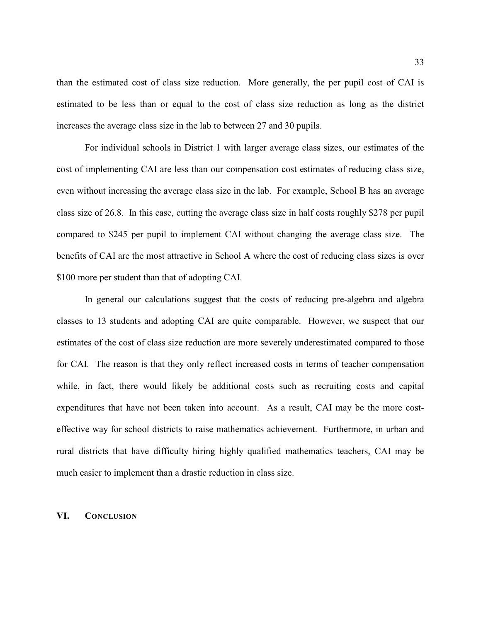than the estimated cost of class size reduction. More generally, the per pupil cost of CAI is estimated to be less than or equal to the cost of class size reduction as long as the district increases the average class size in the lab to between 27 and 30 pupils.

For individual schools in District 1 with larger average class sizes, our estimates of the cost of implementing CAI are less than our compensation cost estimates of reducing class size, even without increasing the average class size in the lab. For example, School B has an average class size of 26.8. In this case, cutting the average class size in half costs roughly \$278 per pupil compared to \$245 per pupil to implement CAI without changing the average class size. The benefits of CAI are the most attractive in School A where the cost of reducing class sizes is over \$100 more per student than that of adopting CAI.

In general our calculations suggest that the costs of reducing pre-algebra and algebra classes to 13 students and adopting CAI are quite comparable. However, we suspect that our estimates of the cost of class size reduction are more severely underestimated compared to those for CAI. The reason is that they only reflect increased costs in terms of teacher compensation while, in fact, there would likely be additional costs such as recruiting costs and capital expenditures that have not been taken into account. As a result, CAI may be the more costeffective way for school districts to raise mathematics achievement. Furthermore, in urban and rural districts that have difficulty hiring highly qualified mathematics teachers, CAI may be much easier to implement than a drastic reduction in class size.

#### **VI. CONCLUSION**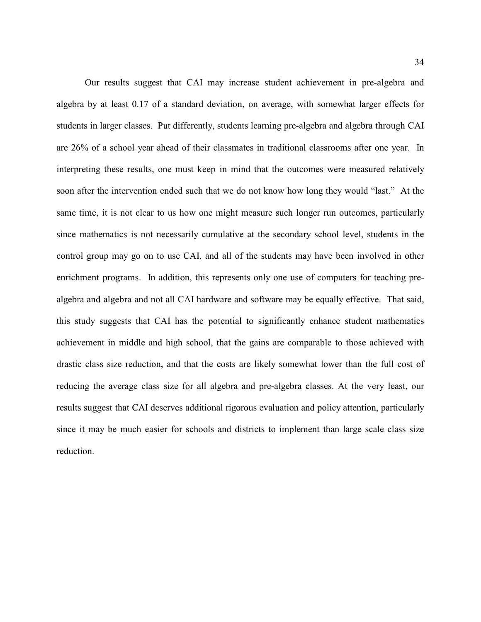Our results suggest that CAI may increase student achievement in pre-algebra and algebra by at least 0.17 of a standard deviation, on average, with somewhat larger effects for students in larger classes. Put differently, students learning pre-algebra and algebra through CAI are 26% of a school year ahead of their classmates in traditional classrooms after one year. In interpreting these results, one must keep in mind that the outcomes were measured relatively soon after the intervention ended such that we do not know how long they would "last." At the same time, it is not clear to us how one might measure such longer run outcomes, particularly since mathematics is not necessarily cumulative at the secondary school level, students in the control group may go on to use CAI, and all of the students may have been involved in other enrichment programs. In addition, this represents only one use of computers for teaching prealgebra and algebra and not all CAI hardware and software may be equally effective. That said, this study suggests that CAI has the potential to significantly enhance student mathematics achievement in middle and high school, that the gains are comparable to those achieved with drastic class size reduction, and that the costs are likely somewhat lower than the full cost of reducing the average class size for all algebra and pre-algebra classes. At the very least, our results suggest that CAI deserves additional rigorous evaluation and policy attention, particularly since it may be much easier for schools and districts to implement than large scale class size reduction.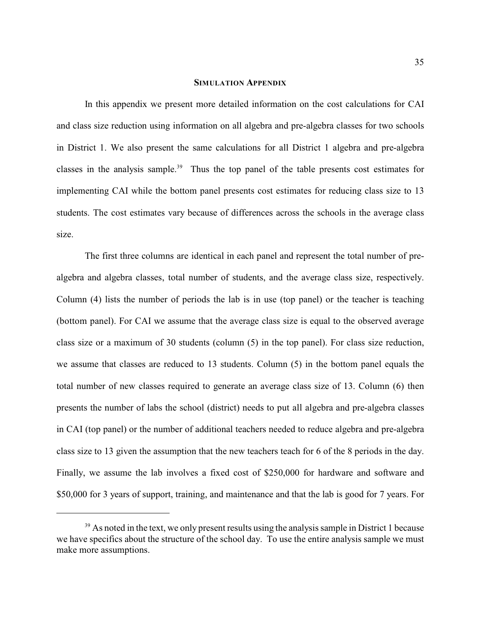#### **SIMULATION APPENDIX**

In this appendix we present more detailed information on the cost calculations for CAI and class size reduction using information on all algebra and pre-algebra classes for two schools in District 1. We also present the same calculations for all District 1 algebra and pre-algebra classes in the analysis sample.<sup>39</sup> Thus the top panel of the table presents cost estimates for implementing CAI while the bottom panel presents cost estimates for reducing class size to 13 students. The cost estimates vary because of differences across the schools in the average class size.

The first three columns are identical in each panel and represent the total number of prealgebra and algebra classes, total number of students, and the average class size, respectively. Column (4) lists the number of periods the lab is in use (top panel) or the teacher is teaching (bottom panel). For CAI we assume that the average class size is equal to the observed average class size or a maximum of 30 students (column (5) in the top panel). For class size reduction, we assume that classes are reduced to 13 students. Column (5) in the bottom panel equals the total number of new classes required to generate an average class size of 13. Column (6) then presents the number of labs the school (district) needs to put all algebra and pre-algebra classes in CAI (top panel) or the number of additional teachers needed to reduce algebra and pre-algebra class size to 13 given the assumption that the new teachers teach for 6 of the 8 periods in the day. Finally, we assume the lab involves a fixed cost of \$250,000 for hardware and software and \$50,000 for 3 years of support, training, and maintenance and that the lab is good for 7 years. For

 $39$  As noted in the text, we only present results using the analysis sample in District 1 because we have specifics about the structure of the school day. To use the entire analysis sample we must make more assumptions.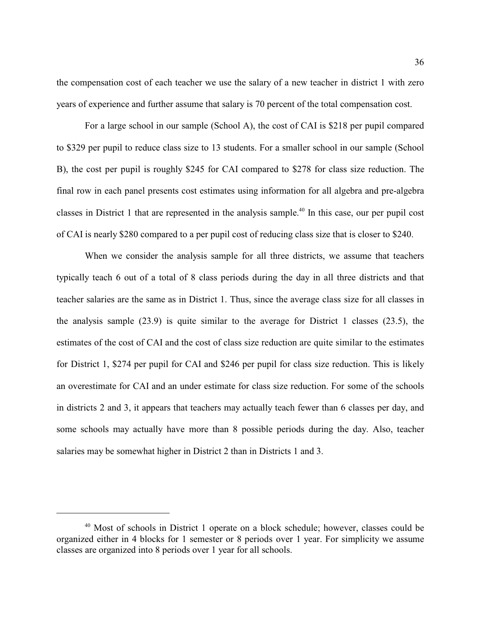the compensation cost of each teacher we use the salary of a new teacher in district 1 with zero years of experience and further assume that salary is 70 percent of the total compensation cost.

For a large school in our sample (School A), the cost of CAI is \$218 per pupil compared to \$329 per pupil to reduce class size to 13 students. For a smaller school in our sample (School B), the cost per pupil is roughly \$245 for CAI compared to \$278 for class size reduction. The final row in each panel presents cost estimates using information for all algebra and pre-algebra classes in District 1 that are represented in the analysis sample.<sup>40</sup> In this case, our per pupil cost of CAI is nearly \$280 compared to a per pupil cost of reducing class size that is closer to \$240.

When we consider the analysis sample for all three districts, we assume that teachers typically teach 6 out of a total of 8 class periods during the day in all three districts and that teacher salaries are the same as in District 1. Thus, since the average class size for all classes in the analysis sample (23.9) is quite similar to the average for District 1 classes (23.5), the estimates of the cost of CAI and the cost of class size reduction are quite similar to the estimates for District 1, \$274 per pupil for CAI and \$246 per pupil for class size reduction. This is likely an overestimate for CAI and an under estimate for class size reduction. For some of the schools in districts 2 and 3, it appears that teachers may actually teach fewer than 6 classes per day, and some schools may actually have more than 8 possible periods during the day. Also, teacher salaries may be somewhat higher in District 2 than in Districts 1 and 3.

 $40$  Most of schools in District 1 operate on a block schedule; however, classes could be organized either in 4 blocks for 1 semester or 8 periods over 1 year. For simplicity we assume classes are organized into 8 periods over 1 year for all schools.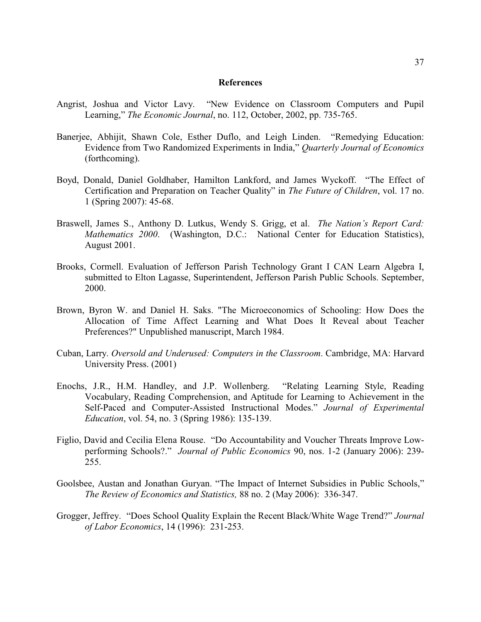#### **References**

- Angrist, Joshua and Victor Lavy. "New Evidence on Classroom Computers and Pupil Learning," *The Economic Journal*, no. 112, October, 2002, pp. 735-765.
- Banerjee, Abhijit, Shawn Cole, Esther Duflo, and Leigh Linden. "Remedying Education: Evidence from Two Randomized Experiments in India," *Quarterly Journal of Economics* (forthcoming).
- Boyd, Donald, Daniel Goldhaber, Hamilton Lankford, and James Wyckoff. "The Effect of Certification and Preparation on Teacher Quality" in *The Future of Children*, vol. 17 no. 1 (Spring 2007): 45-68.
- Braswell, James S., Anthony D. Lutkus, Wendy S. Grigg, et al. *The Nation's Report Card: Mathematics 2000*. (Washington, D.C.: National Center for Education Statistics), August 2001.
- Brooks, Cormell. Evaluation of Jefferson Parish Technology Grant I CAN Learn Algebra I, submitted to Elton Lagasse, Superintendent, Jefferson Parish Public Schools. September, 2000.
- Brown, Byron W. and Daniel H. Saks. "The Microeconomics of Schooling: How Does the Allocation of Time Affect Learning and What Does It Reveal about Teacher Preferences?" Unpublished manuscript, March 1984.
- Cuban, Larry. *Oversold and Underused: Computers in the Classroom*. Cambridge, MA: Harvard University Press. (2001)
- Enochs, J.R., H.M. Handley, and J.P. Wollenberg. "Relating Learning Style, Reading Vocabulary, Reading Comprehension, and Aptitude for Learning to Achievement in the Self-Paced and Computer-Assisted Instructional Modes." *Journal of Experimental Education*, vol. 54, no. 3 (Spring 1986): 135-139.
- Figlio, David and Cecilia Elena Rouse. "Do Accountability and Voucher Threats Improve Lowperforming Schools?." *Journal of Public Economics* 90, nos. 1-2 (January 2006): 239- 255.
- Goolsbee, Austan and Jonathan Guryan. "The Impact of Internet Subsidies in Public Schools," *The Review of Economics and Statistics,* 88 no. 2 (May 2006): 336-347.
- Grogger, Jeffrey. "Does School Quality Explain the Recent Black/White Wage Trend?" *Journal of Labor Economics*, 14 (1996): 231-253.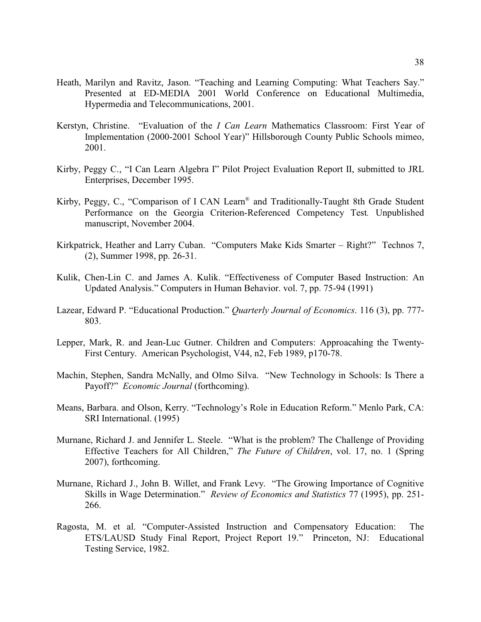- Heath, Marilyn and Ravitz, Jason. "Teaching and Learning Computing: What Teachers Say." Presented at ED-MEDIA 2001 World Conference on Educational Multimedia, Hypermedia and Telecommunications, 2001.
- Kerstyn, Christine. "Evaluation of the *I Can Learn* Mathematics Classroom: First Year of Implementation (2000-2001 School Year)" Hillsborough County Public Schools mimeo, 2001.
- Kirby, Peggy C., "I Can Learn Algebra I" Pilot Project Evaluation Report II, submitted to JRL Enterprises, December 1995.
- Kirby, Peggy, C., "Comparison of I CAN Learn® and Traditionally-Taught 8th Grade Student Performance on the Georgia Criterion-Referenced Competency Test*.* Unpublished manuscript, November 2004.
- Kirkpatrick, Heather and Larry Cuban. "Computers Make Kids Smarter Right?" Technos 7, (2), Summer 1998, pp. 26-31.
- Kulik, Chen-Lin C. and James A. Kulik. "Effectiveness of Computer Based Instruction: An Updated Analysis." Computers in Human Behavior. vol. 7, pp. 75-94 (1991)
- Lazear, Edward P. "Educational Production." *Quarterly Journal of Economics*. 116 (3), pp. 777- 803.
- Lepper, Mark, R. and Jean-Luc Gutner. Children and Computers: Approacahing the Twenty-First Century. American Psychologist, V44, n2, Feb 1989, p170-78.
- Machin, Stephen, Sandra McNally, and Olmo Silva. "New Technology in Schools: Is There a Payoff?" *Economic Journal* (forthcoming).
- Means, Barbara. and Olson, Kerry. "Technology's Role in Education Reform." Menlo Park, CA: SRI International. (1995)
- Murnane, Richard J. and Jennifer L. Steele. "What is the problem? The Challenge of Providing Effective Teachers for All Children," *The Future of Children*, vol. 17, no. 1 (Spring 2007), forthcoming.
- Murnane, Richard J., John B. Willet, and Frank Levy. "The Growing Importance of Cognitive Skills in Wage Determination." *Review of Economics and Statistics* 77 (1995), pp. 251- 266.
- Ragosta, M. et al. "Computer-Assisted Instruction and Compensatory Education: The ETS/LAUSD Study Final Report, Project Report 19." Princeton, NJ: Educational Testing Service, 1982.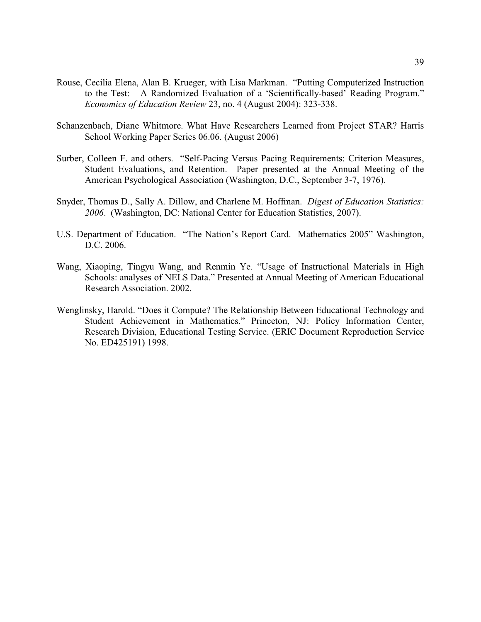- Rouse, Cecilia Elena, Alan B. Krueger, with Lisa Markman. "Putting Computerized Instruction to the Test: A Randomized Evaluation of a 'Scientifically-based' Reading Program." *Economics of Education Review* 23, no. 4 (August 2004): 323-338.
- Schanzenbach, Diane Whitmore. What Have Researchers Learned from Project STAR? Harris School Working Paper Series 06.06. (August 2006)
- Surber, Colleen F. and others. "Self-Pacing Versus Pacing Requirements: Criterion Measures, Student Evaluations, and Retention. Paper presented at the Annual Meeting of the American Psychological Association (Washington, D.C., September 3-7, 1976).
- Snyder, Thomas D., Sally A. Dillow, and Charlene M. Hoffman. *Digest of Education Statistics: 2006*. (Washington, DC: National Center for Education Statistics, 2007).
- U.S. Department of Education. "The Nation's Report Card. Mathematics 2005" Washington, D.C. 2006.
- Wang, Xiaoping, Tingyu Wang, and Renmin Ye. "Usage of Instructional Materials in High Schools: analyses of NELS Data." Presented at Annual Meeting of American Educational Research Association. 2002.
- Wenglinsky, Harold. "Does it Compute? The Relationship Between Educational Technology and Student Achievement in Mathematics." Princeton, NJ: Policy Information Center, Research Division, Educational Testing Service. (ERIC Document Reproduction Service No. ED425191) 1998.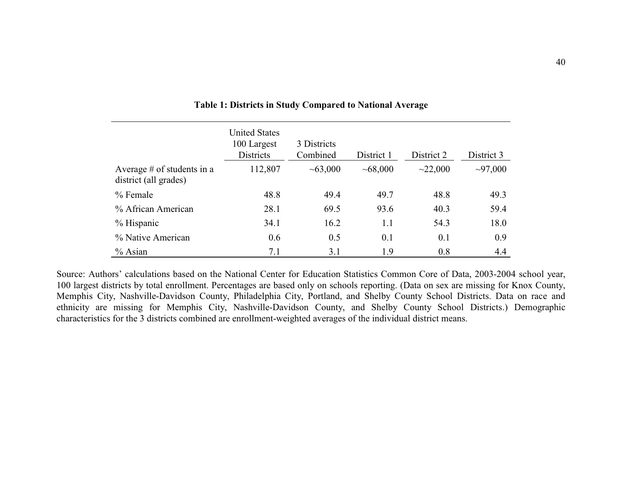|                                                       | <b>United States</b><br>100 Largest<br><b>Districts</b> | 3 Districts<br>Combined | District 1 | District 2 | District 3    |
|-------------------------------------------------------|---------------------------------------------------------|-------------------------|------------|------------|---------------|
| Average $#$ of students in a<br>district (all grades) | 112,807                                                 | ~1000                   | ~1000      | ~22,000    | $\sim$ 97,000 |
| $%$ Female                                            | 48.8                                                    | 49.4                    | 49.7       | 48.8       | 49.3          |
| % African American                                    | 28.1                                                    | 69.5                    | 93.6       | 40.3       | 59.4          |
| $%$ Hispanic                                          | 34.1                                                    | 16.2                    | 1.1        | 54.3       | 18.0          |
| % Native American                                     | 0.6                                                     | 0.5                     | 0.1        | 0.1        | 0.9           |
| $%$ Asian                                             | 7.1                                                     | 3.1                     | 1.9        | 0.8        | 4.4           |

**Table 1: Districts in Study Compared to National Average**

Source: Authors' calculations based on the National Center for Education Statistics Common Core of Data, 2003-2004 school year, 100 largest districts by total enrollment. Percentages are based only on schools reporting. (Data on sex are missing for Knox County, Memphis City, Nashville-Davidson County, Philadelphia City, Portland, and Shelby County School Districts. Data on race and ethnicity are missing for Memphis City, Nashville-Davidson County, and Shelby County School Districts.) Demographic characteristics for the 3 districts combined are enrollment-weighted averages of the individual district means.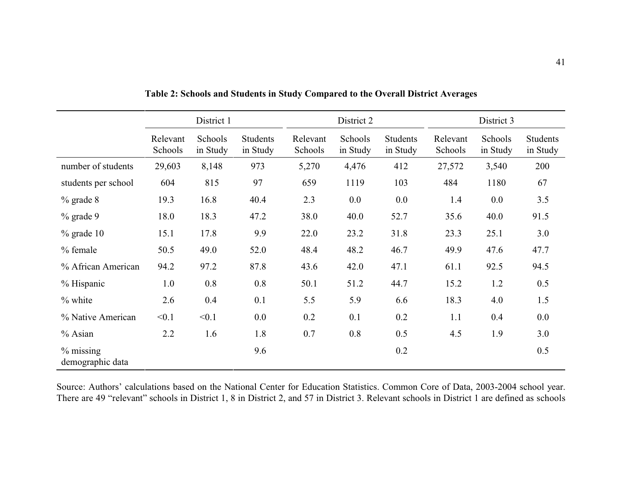|                                  |                     | District 1          |                             |                     | District 2          |                             |                     | District 3          |                             |
|----------------------------------|---------------------|---------------------|-----------------------------|---------------------|---------------------|-----------------------------|---------------------|---------------------|-----------------------------|
|                                  | Relevant<br>Schools | Schools<br>in Study | <b>Students</b><br>in Study | Relevant<br>Schools | Schools<br>in Study | <b>Students</b><br>in Study | Relevant<br>Schools | Schools<br>in Study | <b>Students</b><br>in Study |
| number of students               | 29,603              | 8,148               | 973                         | 5,270               | 4,476               | 412                         | 27,572              | 3,540               | 200                         |
| students per school              | 604                 | 815                 | 97                          | 659                 | 1119                | 103                         | 484                 | 1180                | 67                          |
| $\%$ grade $8$                   | 19.3                | 16.8                | 40.4                        | 2.3                 | 0.0                 | 0.0                         | 1.4                 | 0.0                 | 3.5                         |
| $%$ grade 9                      | 18.0                | 18.3                | 47.2                        | 38.0                | 40.0                | 52.7                        | 35.6                | 40.0                | 91.5                        |
| $\%$ grade 10                    | 15.1                | 17.8                | 9.9                         | 22.0                | 23.2                | 31.8                        | 23.3                | 25.1                | 3.0                         |
| % female                         | 50.5                | 49.0                | 52.0                        | 48.4                | 48.2                | 46.7                        | 49.9                | 47.6                | 47.7                        |
| % African American               | 94.2                | 97.2                | 87.8                        | 43.6                | 42.0                | 47.1                        | 61.1                | 92.5                | 94.5                        |
| % Hispanic                       | 1.0                 | 0.8                 | 0.8                         | 50.1                | 51.2                | 44.7                        | 15.2                | 1.2                 | 0.5                         |
| $%$ white                        | 2.6                 | 0.4                 | 0.1                         | 5.5                 | 5.9                 | 6.6                         | 18.3                | 4.0                 | 1.5                         |
| % Native American                | < 0.1               | < 0.1               | 0.0                         | 0.2                 | 0.1                 | 0.2                         | 1.1                 | 0.4                 | 0.0                         |
| % Asian                          | 2.2                 | 1.6                 | 1.8                         | 0.7                 | 0.8                 | 0.5                         | 4.5                 | 1.9                 | 3.0                         |
| $\%$ missing<br>demographic data |                     |                     | 9.6                         |                     |                     | 0.2                         |                     |                     | 0.5                         |

**Table 2: Schools and Students in Study Compared to the Overall District Averages**

Source: Authors' calculations based on the National Center for Education Statistics. Common Core of Data, 2003-2004 school year. There are 49 "relevant" schools in District 1, 8 in District 2, and 57 in District 3. Relevant schools in District 1 are defined as schools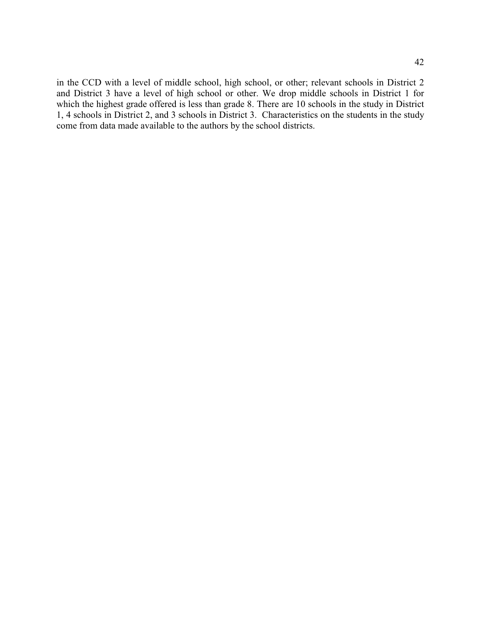in the CCD with a level of middle school, high school, or other; relevant schools in District 2 and District 3 have a level of high school or other. We drop middle schools in District 1 for which the highest grade offered is less than grade 8. There are 10 schools in the study in District 1, 4 schools in District 2, and 3 schools in District 3. Characteristics on the students in the study come from data made available to the authors by the school districts.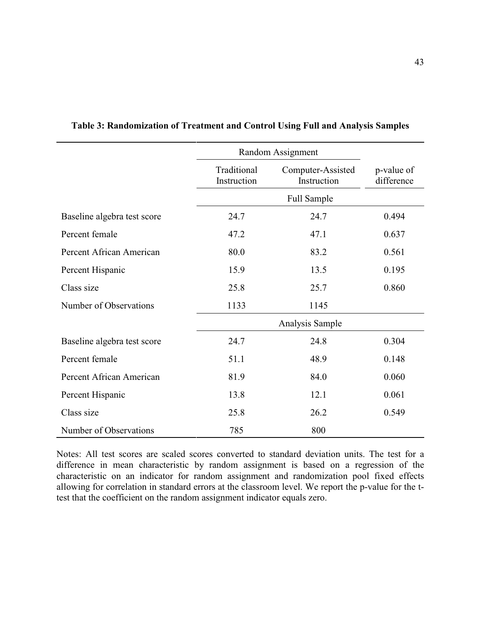|                             |                            | Random Assignment                |                          |
|-----------------------------|----------------------------|----------------------------------|--------------------------|
|                             | Traditional<br>Instruction | Computer-Assisted<br>Instruction | p-value of<br>difference |
|                             |                            | Full Sample                      |                          |
| Baseline algebra test score | 24.7                       | 24.7                             | 0.494                    |
| Percent female              | 47.2                       | 47.1                             | 0.637                    |
| Percent African American    | 80.0                       | 83.2                             | 0.561                    |
| Percent Hispanic            | 15.9                       | 13.5                             | 0.195                    |
| Class size                  | 25.8                       | 25.7                             | 0.860                    |
| Number of Observations      | 1133                       | 1145                             |                          |
|                             |                            | Analysis Sample                  |                          |
| Baseline algebra test score | 24.7                       | 24.8                             | 0.304                    |
| Percent female              | 51.1                       | 48.9                             | 0.148                    |
| Percent African American    | 81.9                       | 84.0                             | 0.060                    |
| Percent Hispanic            | 13.8                       | 12.1                             | 0.061                    |
| Class size                  | 25.8                       | 26.2                             | 0.549                    |
| Number of Observations      | 785                        | 800                              |                          |

# **Table 3: Randomization of Treatment and Control Using Full and Analysis Samples**

Notes: All test scores are scaled scores converted to standard deviation units. The test for a difference in mean characteristic by random assignment is based on a regression of the characteristic on an indicator for random assignment and randomization pool fixed effects allowing for correlation in standard errors at the classroom level. We report the p-value for the ttest that the coefficient on the random assignment indicator equals zero.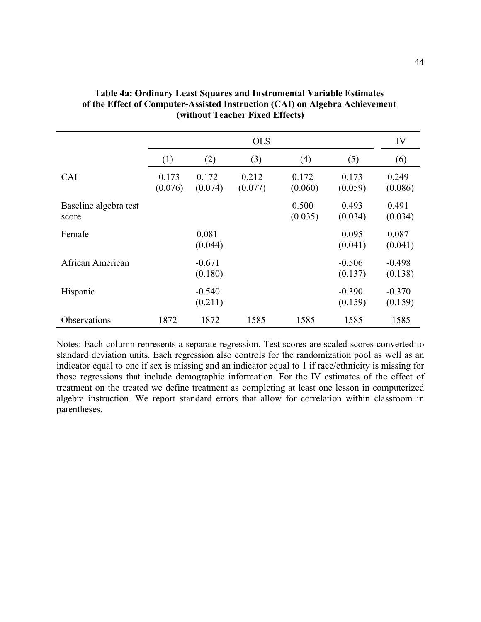|                                |                  | <b>OLS</b>          |                  |                  |                     |                     |
|--------------------------------|------------------|---------------------|------------------|------------------|---------------------|---------------------|
|                                | (1)              | (2)                 | (3)              | (4)              | (5)                 | (6)                 |
| <b>CAI</b>                     | 0.173<br>(0.076) | 0.172<br>(0.074)    | 0.212<br>(0.077) | 0.172<br>(0.060) | 0.173<br>(0.059)    | 0.249<br>(0.086)    |
| Baseline algebra test<br>score |                  |                     |                  | 0.500<br>(0.035) | 0.493<br>(0.034)    | 0.491<br>(0.034)    |
| Female                         |                  | 0.081<br>(0.044)    |                  |                  | 0.095<br>(0.041)    | 0.087<br>(0.041)    |
| African American               |                  | $-0.671$<br>(0.180) |                  |                  | $-0.506$<br>(0.137) | $-0.498$<br>(0.138) |
| Hispanic                       |                  | $-0.540$<br>(0.211) |                  |                  | $-0.390$<br>(0.159) | $-0.370$<br>(0.159) |
| <b>Observations</b>            | 1872             | 1872                | 1585             | 1585             | 1585                | 1585                |

| <b>Table 4a: Ordinary Least Squares and Instrumental Variable Estimates</b> |
|-----------------------------------------------------------------------------|
| of the Effect of Computer-Assisted Instruction (CAI) on Algebra Achievement |
| (without Teacher Fixed Effects)                                             |

Notes: Each column represents a separate regression. Test scores are scaled scores converted to standard deviation units. Each regression also controls for the randomization pool as well as an indicator equal to one if sex is missing and an indicator equal to 1 if race/ethnicity is missing for those regressions that include demographic information. For the IV estimates of the effect of treatment on the treated we define treatment as completing at least one lesson in computerized algebra instruction. We report standard errors that allow for correlation within classroom in parentheses.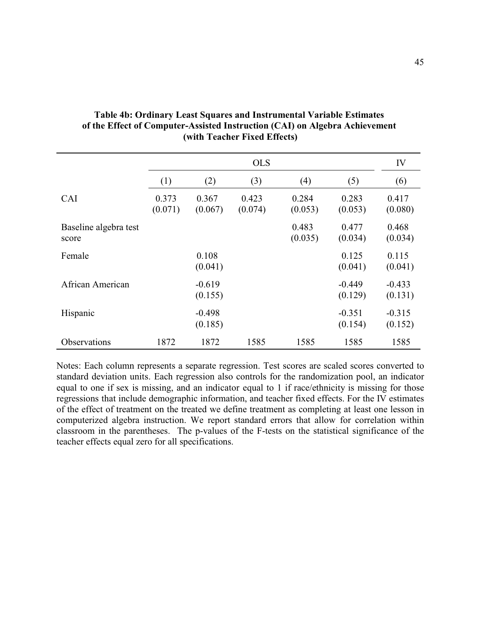|                                | <b>OLS</b>       |                     |                  | IV               |                     |                     |
|--------------------------------|------------------|---------------------|------------------|------------------|---------------------|---------------------|
|                                | (1)              | (2)                 | (3)              | (4)              | (5)                 | (6)                 |
| <b>CAI</b>                     | 0.373<br>(0.071) | 0.367<br>(0.067)    | 0.423<br>(0.074) | 0.284<br>(0.053) | 0.283<br>(0.053)    | 0.417<br>(0.080)    |
| Baseline algebra test<br>score |                  |                     |                  | 0.483<br>(0.035) | 0.477<br>(0.034)    | 0.468<br>(0.034)    |
| Female                         |                  | 0.108<br>(0.041)    |                  |                  | 0.125<br>(0.041)    | 0.115<br>(0.041)    |
| African American               |                  | $-0.619$<br>(0.155) |                  |                  | $-0.449$<br>(0.129) | $-0.433$<br>(0.131) |
| Hispanic                       |                  | $-0.498$<br>(0.185) |                  |                  | $-0.351$<br>(0.154) | $-0.315$<br>(0.152) |
| Observations                   | 1872             | 1872                | 1585             | 1585             | 1585                | 1585                |

# **Table 4b: Ordinary Least Squares and Instrumental Variable Estimates of the Effect of Computer-Assisted Instruction (CAI) on Algebra Achievement (with Teacher Fixed Effects)**

Notes: Each column represents a separate regression. Test scores are scaled scores converted to standard deviation units. Each regression also controls for the randomization pool, an indicator equal to one if sex is missing, and an indicator equal to 1 if race/ethnicity is missing for those regressions that include demographic information, and teacher fixed effects. For the IV estimates of the effect of treatment on the treated we define treatment as completing at least one lesson in computerized algebra instruction. We report standard errors that allow for correlation within classroom in the parentheses. The p-values of the F-tests on the statistical significance of the teacher effects equal zero for all specifications.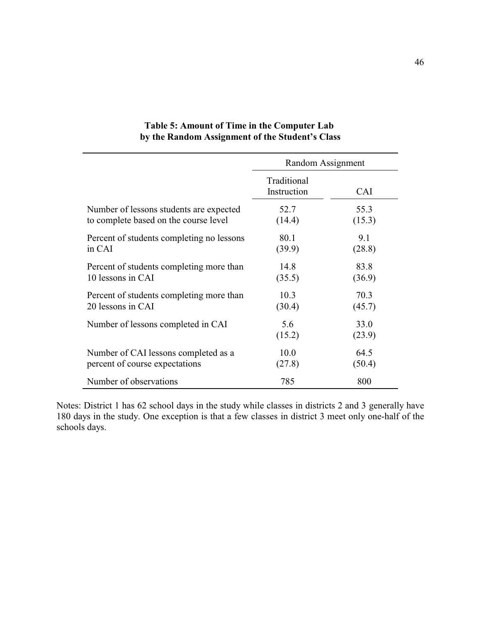|                                           | Random Assignment          |                |  |
|-------------------------------------------|----------------------------|----------------|--|
|                                           | Traditional<br>Instruction | CAI            |  |
| Number of lessons students are expected   | 52.7                       | 55.3           |  |
| to complete based on the course level     | (14.4)                     | (15.3)         |  |
| Percent of students completing no lessons | 80.1                       | 9.1            |  |
| in CAI                                    | (39.9)                     | (28.8)         |  |
| Percent of students completing more than  | 14.8                       | 83.8           |  |
| 10 lessons in CAI                         | (35.5)                     | (36.9)         |  |
| Percent of students completing more than  | 10.3                       | 70.3           |  |
| 20 lessons in CAI                         | (30.4)                     | (45.7)         |  |
| Number of lessons completed in CAI        | 5.6<br>(15.2)              | 33.0<br>(23.9) |  |
| Number of CAI lessons completed as a      | 10.0                       | 64.5           |  |
| percent of course expectations            | (27.8)                     | (50.4)         |  |
| Number of observations                    | 785                        | 800            |  |

# **Table 5: Amount of Time in the Computer Lab by the Random Assignment of the Student's Class**

Notes: District 1 has 62 school days in the study while classes in districts 2 and 3 generally have 180 days in the study. One exception is that a few classes in district 3 meet only one-half of the schools days.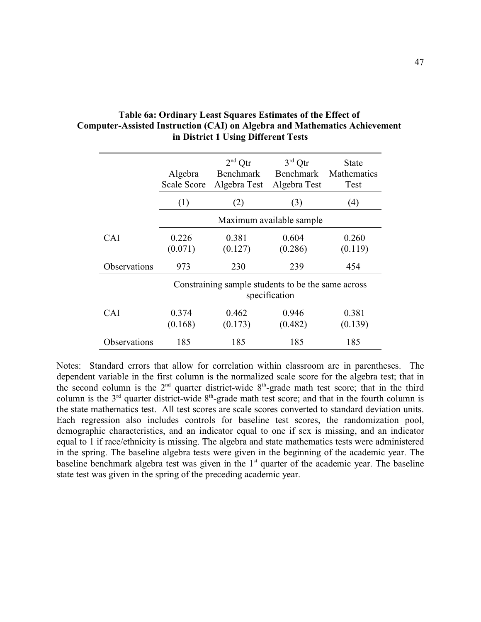|                     | Algebra<br><b>Scale Score</b> | $2nd$ Otr<br><b>Benchmark</b><br>Algebra Test      | $3rd$ Qtr<br><b>Benchmark</b><br>Algebra Test | <b>State</b><br>Mathematics<br>Test |
|---------------------|-------------------------------|----------------------------------------------------|-----------------------------------------------|-------------------------------------|
|                     | (1)                           | (2)                                                | (3)                                           | (4)                                 |
|                     |                               |                                                    | Maximum available sample                      |                                     |
| <b>CAI</b>          | 0.226<br>(0.071)              | 0.381<br>(0.127)                                   | 0.604<br>(0.286)                              | 0.260<br>(0.119)                    |
| <b>Observations</b> | 973                           | 230                                                | 239                                           | 454                                 |
|                     |                               | Constraining sample students to be the same across | specification                                 |                                     |
| <b>CAI</b>          | 0.374<br>(0.168)              | 0.462<br>(0.173)                                   | 0.946<br>(0.482)                              | 0.381<br>(0.139)                    |
| Observations        | 185                           | 185                                                | 185                                           | 185                                 |

# **Table 6a: Ordinary Least Squares Estimates of the Effect of Computer-Assisted Instruction (CAI) on Algebra and Mathematics Achievement in District 1 Using Different Tests**

Notes: Standard errors that allow for correlation within classroom are in parentheses. The dependent variable in the first column is the normalized scale score for the algebra test; that in the second column is the  $2<sup>nd</sup>$  quarter district-wide  $8<sup>th</sup>$ -grade math test score; that in the third column is the  $3<sup>rd</sup>$  quarter district-wide  $8<sup>th</sup>$ -grade math test score; and that in the fourth column is the state mathematics test. All test scores are scale scores converted to standard deviation units. Each regression also includes controls for baseline test scores, the randomization pool, demographic characteristics, and an indicator equal to one if sex is missing, and an indicator equal to 1 if race/ethnicity is missing. The algebra and state mathematics tests were administered in the spring. The baseline algebra tests were given in the beginning of the academic year. The baseline benchmark algebra test was given in the  $1<sup>st</sup>$  quarter of the academic year. The baseline state test was given in the spring of the preceding academic year.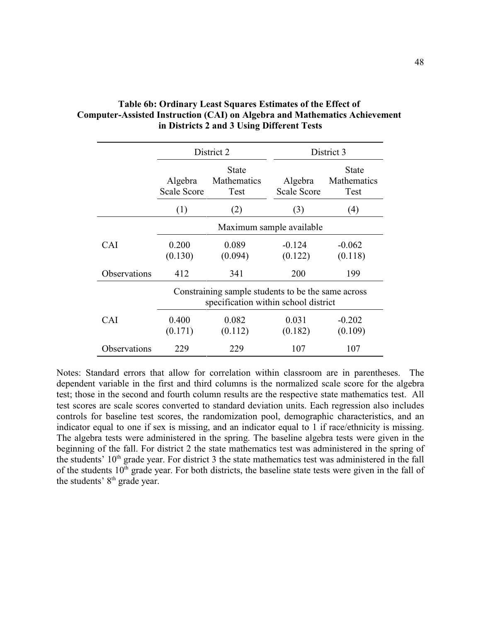|              |                               | District 2                                                                                 |                               | District 3                   |
|--------------|-------------------------------|--------------------------------------------------------------------------------------------|-------------------------------|------------------------------|
|              | Algebra<br><b>Scale Score</b> | <b>State</b><br>Mathematics<br><b>Test</b>                                                 | Algebra<br><b>Scale Score</b> | State<br>Mathematics<br>Test |
|              | (1)                           | (2)                                                                                        | (3)                           | (4)                          |
|              |                               |                                                                                            | Maximum sample available      |                              |
| CAI          | 0.200<br>(0.130)              | 0.089<br>(0.094)                                                                           | $-0.124$<br>(0.122)           | $-0.062$<br>(0.118)          |
| Observations | 412                           | 341                                                                                        | 200                           | 199                          |
|              |                               | Constraining sample students to be the same across<br>specification within school district |                               |                              |
| <b>CAI</b>   | 0.400<br>(0.171)              | 0.082<br>(0.112)                                                                           | 0.031<br>(0.182)              | $-0.202$<br>(0.109)          |
| Observations | 229                           | 229                                                                                        | 107                           | 107                          |

# **Table 6b: Ordinary Least Squares Estimates of the Effect of Computer-Assisted Instruction (CAI) on Algebra and Mathematics Achievement in Districts 2 and 3 Using Different Tests**

Notes: Standard errors that allow for correlation within classroom are in parentheses. The dependent variable in the first and third columns is the normalized scale score for the algebra test; those in the second and fourth column results are the respective state mathematics test. All test scores are scale scores converted to standard deviation units. Each regression also includes controls for baseline test scores, the randomization pool, demographic characteristics, and an indicator equal to one if sex is missing, and an indicator equal to 1 if race/ethnicity is missing. The algebra tests were administered in the spring. The baseline algebra tests were given in the beginning of the fall. For district 2 the state mathematics test was administered in the spring of the students'  $10<sup>th</sup>$  grade year. For district 3 the state mathematics test was administered in the fall of the students  $10<sup>th</sup>$  grade year. For both districts, the baseline state tests were given in the fall of the students'  $8<sup>th</sup>$  grade year.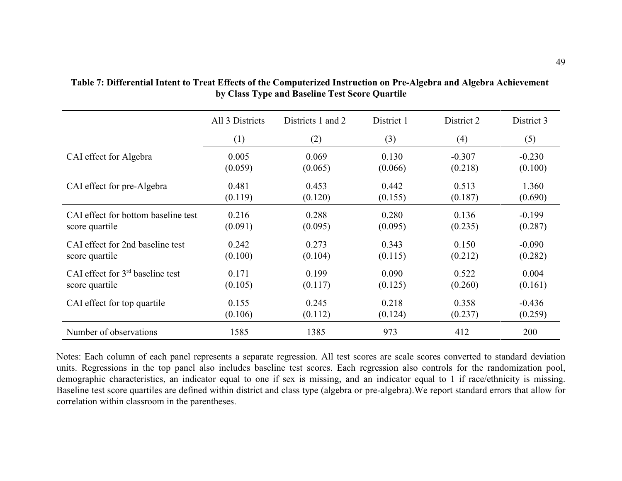|                                     | All 3 Districts | Districts 1 and 2 | District 1 | District 2 | District 3 |
|-------------------------------------|-----------------|-------------------|------------|------------|------------|
|                                     | (1)             | (2)               | (3)        | (4)        | (5)        |
| CAI effect for Algebra              | 0.005           | 0.069             | 0.130      | $-0.307$   | $-0.230$   |
|                                     | (0.059)         | (0.065)           | (0.066)    | (0.218)    | (0.100)    |
| CAI effect for pre-Algebra          | 0.481           | 0.453             | 0.442      | 0.513      | 1.360      |
|                                     | (0.119)         | (0.120)           | (0.155)    | (0.187)    | (0.690)    |
| CAI effect for bottom baseline test | 0.216           | 0.288             | 0.280      | 0.136      | $-0.199$   |
| score quartile                      | (0.091)         | (0.095)           | (0.095)    | (0.235)    | (0.287)    |
| CAI effect for 2nd baseline test    | 0.242           | 0.273             | 0.343      | 0.150      | $-0.090$   |
| score quartile                      | (0.100)         | (0.104)           | (0.115)    | (0.212)    | (0.282)    |
| CAI effect for $3rd$ baseline test  | 0.171           | 0.199             | 0.090      | 0.522      | 0.004      |
| score quartile                      | (0.105)         | (0.117)           | (0.125)    | (0.260)    | (0.161)    |
| CAI effect for top quartile         | 0.155           | 0.245             | 0.218      | 0.358      | $-0.436$   |
|                                     | (0.106)         | (0.112)           | (0.124)    | (0.237)    | (0.259)    |
| Number of observations              | 1585            | 1385              | 973        | 412        | 200        |

## **Table 7: Differential Intent to Treat Effects of the Computerized Instruction on Pre-Algebra and Algebra Achievement by Class Type and Baseline Test Score Quartile**

Notes: Each column of each panel represents a separate regression. All test scores are scale scores converted to standard deviation units. Regressions in the top panel also includes baseline test scores. Each regression also controls for the randomization pool, demographic characteristics, an indicator equal to one if sex is missing, and an indicator equal to 1 if race/ethnicity is missing. Baseline test score quartiles are defined within district and class type (algebra or pre-algebra).We report standard errors that allow for correlation within classroom in the parentheses.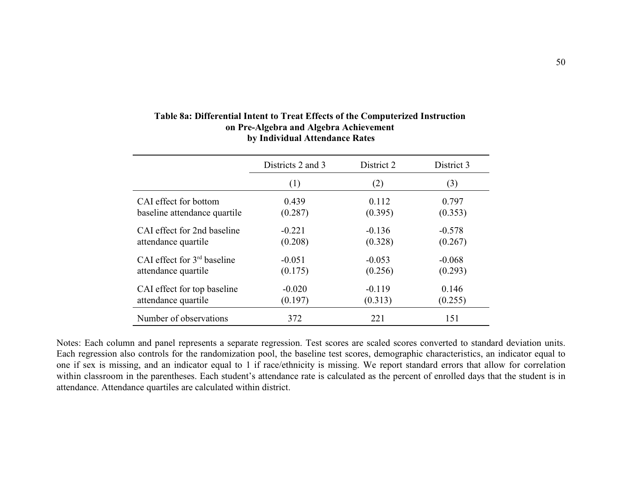|                               | Districts 2 and 3 | District 2 | District 3 |
|-------------------------------|-------------------|------------|------------|
|                               | (1)               | (2)        | (3)        |
| CAI effect for bottom         | 0.439             | 0.112      | 0.797      |
| baseline attendance quartile  | (0.287)           | (0.395)    | (0.353)    |
| CAI effect for 2nd baseline   | $-0.221$          | $-0.136$   | $-0.578$   |
| attendance quartile           | (0.208)           | (0.328)    | (0.267)    |
| CAI effect for $3rd$ baseline | $-0.051$          | $-0.053$   | $-0.068$   |
| attendance quartile           | (0.175)           | (0.256)    | (0.293)    |
| CAI effect for top baseline   | $-0.020$          | $-0.119$   | 0.146      |
| attendance quartile           | (0.197)           | (0.313)    | (0.255)    |
| Number of observations        | 372               | 221        | 151        |

# **Table 8a: Differential Intent to Treat Effects of the Computerized Instruction on Pre-Algebra and Algebra Achievement by Individual Attendance Rates**

Notes: Each column and panel represents a separate regression. Test scores are scaled scores converted to standard deviation units. Each regression also controls for the randomization pool, the baseline test scores, demographic characteristics, an indicator equal to one if sex is missing, and an indicator equal to 1 if race/ethnicity is missing. We report standard errors that allow for correlation within classroom in the parentheses. Each student's attendance rate is calculated as the percent of enrolled days that the student is in attendance. Attendance quartiles are calculated within district.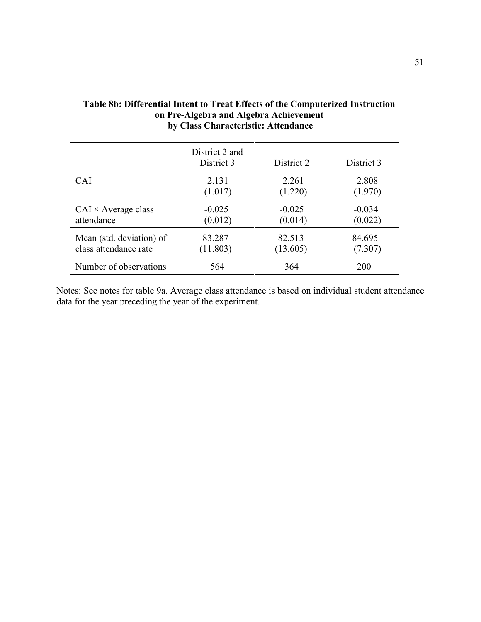|                            | District 2 and<br>District 3 | District 2 | District 3 |
|----------------------------|------------------------------|------------|------------|
| <b>CAI</b>                 | 2.131                        | 2.261      | 2.808      |
|                            | (1.017)                      | (1.220)    | (1.970)    |
| $CAI \times Average class$ | $-0.025$                     | $-0.025$   | $-0.034$   |
| attendance                 | (0.012)                      | (0.014)    | (0.022)    |
| Mean (std. deviation) of   | 83.287                       | 82.513     | 84.695     |
| class attendance rate      | (11.803)                     | (13.605)   | (7.307)    |
| Number of observations     | 564                          | 364        | <b>200</b> |

# **Table 8b: Differential Intent to Treat Effects of the Computerized Instruction on Pre-Algebra and Algebra Achievement by Class Characteristic: Attendance**

Notes: See notes for table 9a. Average class attendance is based on individual student attendance data for the year preceding the year of the experiment.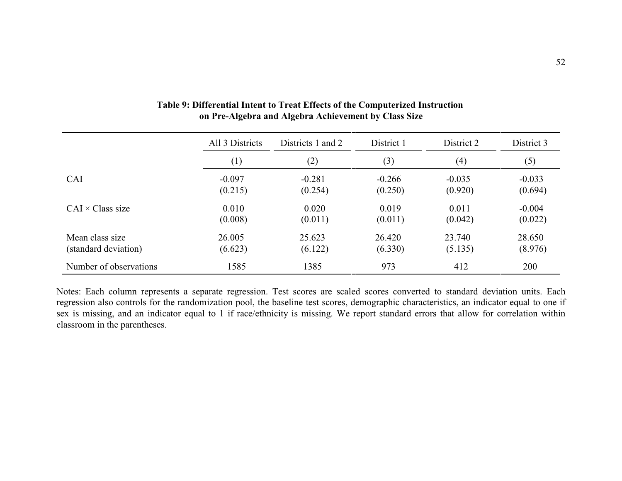|                         | All 3 Districts | Districts 1 and 2 | District 1 | District 2 | District 3 |
|-------------------------|-----------------|-------------------|------------|------------|------------|
|                         | (1)             | (2)               | (3)        | (4)        | (5)        |
| CAI                     | $-0.097$        | $-0.281$          | $-0.266$   | $-0.035$   | $-0.033$   |
|                         | (0.215)         | (0.254)           | (0.250)    | (0.920)    | (0.694)    |
| $CAI \times Class size$ | 0.010           | 0.020             | 0.019      | 0.011      | $-0.004$   |
|                         | (0.008)         | (0.011)           | (0.011)    | (0.042)    | (0.022)    |
| Mean class size         | 26.005          | 25.623            | 26.420     | 23.740     | 28.650     |
| (standard deviation)    | (6.623)         | (6.122)           | (6.330)    | (5.135)    | (8.976)    |
| Number of observations  | 1585            | 1385              | 973        | 412        | 200        |

## **Table 9: Differential Intent to Treat Effects of the Computerized Instruction on Pre-Algebra and Algebra Achievement by Class Size**

Notes: Each column represents a separate regression. Test scores are scaled scores converted to standard deviation units. Each regression also controls for the randomization pool, the baseline test scores, demographic characteristics, an indicator equal to one if sex is missing, and an indicator equal to 1 if race/ethnicity is missing. We report standard errors that allow for correlation within classroom in the parentheses.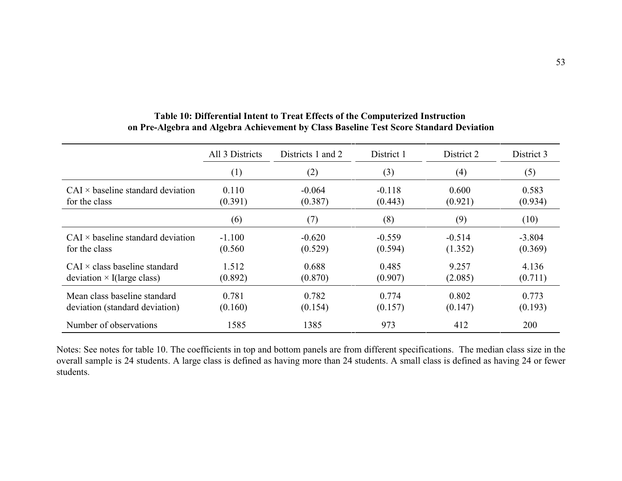|                                          | All 3 Districts | Districts 1 and 2 | District 1 | District 2 | District 3 |
|------------------------------------------|-----------------|-------------------|------------|------------|------------|
|                                          | (1)             | (2)               | (3)        | (4)        | (5)        |
| $CAI \times$ baseline standard deviation | 0.110           | $-0.064$          | $-0.118$   | 0.600      | 0.583      |
| for the class                            | (0.391)         | (0.387)           | (0.443)    | (0.921)    | (0.934)    |
|                                          | (6)             | (7)               | (8)        | (9)        | (10)       |
| $CAI \times$ baseline standard deviation | $-1.100$        | $-0.620$          | $-0.559$   | $-0.514$   | $-3.804$   |
| for the class                            | (0.560)         | (0.529)           | (0.594)    | (1.352)    | (0.369)    |
| $CAI \times class$ baseline standard     | 1.512           | 0.688             | 0.485      | 9.257      | 4.136      |
| deviation $\times$ I(large class)        | (0.892)         | (0.870)           | (0.907)    | (2.085)    | (0.711)    |
| Mean class baseline standard             | 0.781           | 0.782             | 0.774      | 0.802      | 0.773      |
| deviation (standard deviation)           | (0.160)         | (0.154)           | (0.157)    | (0.147)    | (0.193)    |
| Number of observations                   | 1585            | 1385              | 973        | 412        | 200        |

# **Table 10: Differential Intent to Treat Effects of the Computerized Instruction on Pre-Algebra and Algebra Achievement by Class Baseline Test Score Standard Deviation**

Notes: See notes for table 10. The coefficients in top and bottom panels are from different specifications. The median class size in the overall sample is 24 students. A large class is defined as having more than 24 students. A small class is defined as having 24 or fewer students.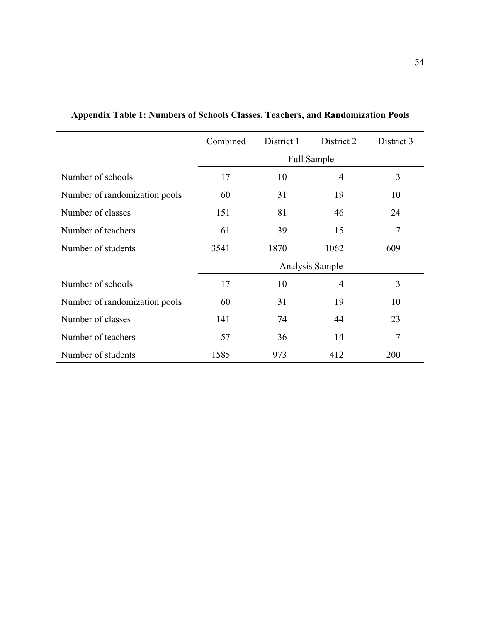|                               | Combined | District 1         | District 2     | District 3     |  |  |
|-------------------------------|----------|--------------------|----------------|----------------|--|--|
|                               |          | <b>Full Sample</b> |                |                |  |  |
| Number of schools             | 17       | 10                 | 4              | 3              |  |  |
| Number of randomization pools | 60       | 31                 | 19             | 10             |  |  |
| Number of classes             | 151      | 81                 | 46             | 24             |  |  |
| Number of teachers            | 61       | 39                 | 15             | $\overline{7}$ |  |  |
| Number of students            | 3541     | 1870               | 1062           | 609            |  |  |
|                               |          | Analysis Sample    |                |                |  |  |
| Number of schools             | 17       | 10                 | $\overline{4}$ | 3              |  |  |
| Number of randomization pools | 60       | 31                 | 19             | 10             |  |  |
| Number of classes             | 141      | 74                 | 44             | 23             |  |  |
| Number of teachers            | 57       | 36                 | 14             | $\overline{7}$ |  |  |
| Number of students            | 1585     | 973                | 412            | 200            |  |  |

**Appendix Table 1: Numbers of Schools Classes, Teachers, and Randomization Pools**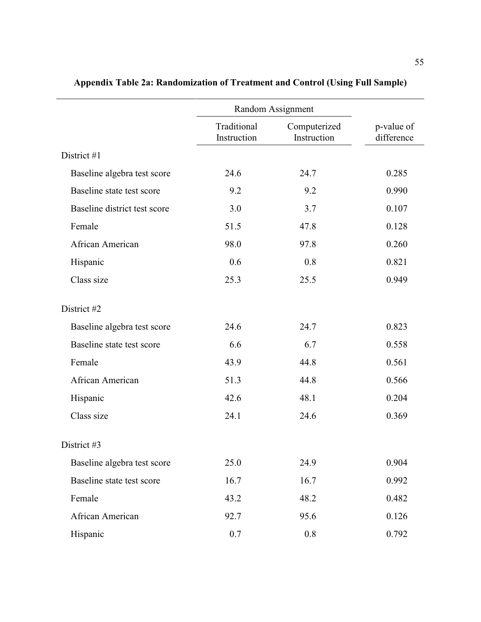|                              |                            | Random Assignment           |                          |  |
|------------------------------|----------------------------|-----------------------------|--------------------------|--|
|                              | Traditional<br>Instruction | Computerized<br>Instruction | p-value of<br>difference |  |
| District #1                  |                            |                             |                          |  |
| Baseline algebra test score  | 24.6                       | 24.7                        | 0.285                    |  |
| Baseline state test score    | 9.2                        | 9.2                         | 0.990                    |  |
| Baseline district test score | 3.0                        | 3.7                         | 0.107                    |  |
| Female                       | 51.5                       | 47.8                        | 0.128                    |  |
| African American             | 98.0                       | 97.8                        | 0.260                    |  |
| Hispanic                     | 0.6                        | 0.8                         | 0.821                    |  |
| Class size                   | 25.3                       | 25.5                        | 0.949                    |  |
| District #2                  |                            |                             |                          |  |
| Baseline algebra test score  | 24.6                       | 24.7                        | 0.823                    |  |
| Baseline state test score    | 6.6                        | 6.7                         | 0.558                    |  |
| Female                       | 43.9                       | 44.8                        | 0.561                    |  |
| African American             | 51.3                       | 44.8                        | 0.566                    |  |
| Hispanic                     | 42.6                       | 48.1                        | 0.204                    |  |
| Class size                   | 24.1                       | 24.6                        | 0.369                    |  |
| District #3                  |                            |                             |                          |  |
| Baseline algebra test score  | 25.0                       | 24.9                        | 0.904                    |  |
| Baseline state test score    | 16.7                       | 16.7                        | 0.992                    |  |
| Female                       | 43.2                       | 48.2                        | 0.482                    |  |
| African American             | 92.7                       | 95.6                        | 0.126                    |  |
| Hispanic                     | 0.7                        | 0.8                         | 0.792                    |  |

# **Appendix Table 2a: Randomization of Treatment and Control (Using Full Sample)**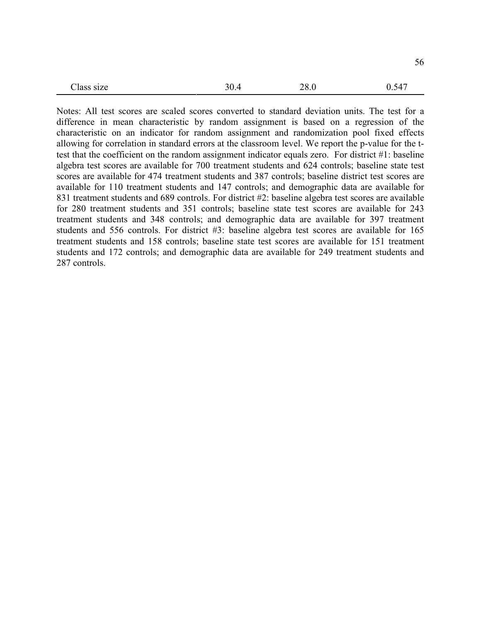| C17A<br>14 L<br>---------- | ____ | $  -$ | ~<br>ں ر<br>$- - -$ |
|----------------------------|------|-------|---------------------|
|                            |      |       |                     |

Notes: All test scores are scaled scores converted to standard deviation units. The test for a difference in mean characteristic by random assignment is based on a regression of the characteristic on an indicator for random assignment and randomization pool fixed effects allowing for correlation in standard errors at the classroom level. We report the p-value for the ttest that the coefficient on the random assignment indicator equals zero. For district #1: baseline algebra test scores are available for 700 treatment students and 624 controls; baseline state test scores are available for 474 treatment students and 387 controls; baseline district test scores are available for 110 treatment students and 147 controls; and demographic data are available for 831 treatment students and 689 controls. For district #2: baseline algebra test scores are available for 280 treatment students and 351 controls; baseline state test scores are available for 243 treatment students and 348 controls; and demographic data are available for 397 treatment students and 556 controls. For district #3: baseline algebra test scores are available for 165 treatment students and 158 controls; baseline state test scores are available for 151 treatment students and 172 controls; and demographic data are available for 249 treatment students and 287 controls.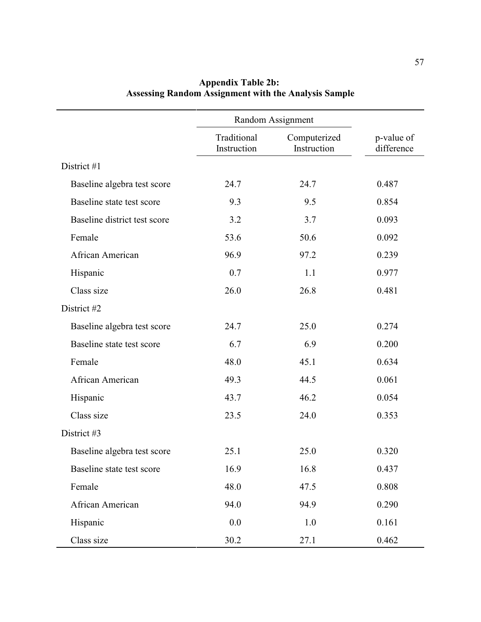|                              |                            | Random Assignment           |                          |  |
|------------------------------|----------------------------|-----------------------------|--------------------------|--|
|                              | Traditional<br>Instruction | Computerized<br>Instruction | p-value of<br>difference |  |
| District #1                  |                            |                             |                          |  |
| Baseline algebra test score  | 24.7                       | 24.7                        | 0.487                    |  |
| Baseline state test score    | 9.3                        | 9.5                         | 0.854                    |  |
| Baseline district test score | 3.2                        | 3.7                         | 0.093                    |  |
| Female                       | 53.6                       | 50.6                        | 0.092                    |  |
| African American             | 96.9                       | 97.2                        | 0.239                    |  |
| Hispanic                     | 0.7                        | 1.1                         | 0.977                    |  |
| Class size                   | 26.0                       | 26.8                        | 0.481                    |  |
| District #2                  |                            |                             |                          |  |
| Baseline algebra test score  | 24.7                       | 25.0                        | 0.274                    |  |
| Baseline state test score    | 6.7                        | 6.9                         | 0.200                    |  |
| Female                       | 48.0                       | 45.1                        | 0.634                    |  |
| African American             | 49.3                       | 44.5                        | 0.061                    |  |
| Hispanic                     | 43.7                       | 46.2                        | 0.054                    |  |
| Class size                   | 23.5                       | 24.0                        | 0.353                    |  |
| District #3                  |                            |                             |                          |  |
| Baseline algebra test score  | 25.1                       | 25.0                        | 0.320                    |  |
| Baseline state test score    | 16.9                       | 16.8                        | 0.437                    |  |
| Female                       | 48.0                       | 47.5                        | 0.808                    |  |
| African American             | 94.0                       | 94.9                        | 0.290                    |  |
| Hispanic                     | 0.0                        | 1.0                         | 0.161                    |  |
| Class size                   | 30.2                       | 27.1                        | 0.462                    |  |

# **Appendix Table 2b: Assessing Random Assignment with the Analysis Sample**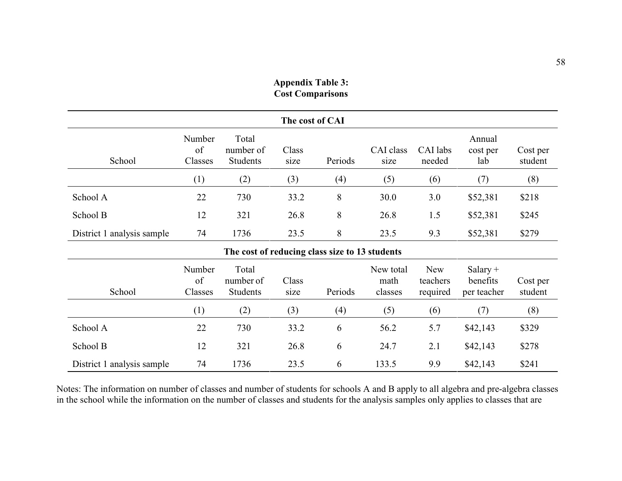| The cost of CAI                                                                                                                                                                                                                              |                         |                                                |               |                |                   |                    |                           |                     |
|----------------------------------------------------------------------------------------------------------------------------------------------------------------------------------------------------------------------------------------------|-------------------------|------------------------------------------------|---------------|----------------|-------------------|--------------------|---------------------------|---------------------|
| School                                                                                                                                                                                                                                       | Number<br>of<br>Classes | Total<br>number of<br><b>Students</b>          | Class<br>size | Periods        | CAI class<br>size | CAI labs<br>needed | Annual<br>cost per<br>lab | Cost per<br>student |
|                                                                                                                                                                                                                                              | (1)                     | (2)                                            | (3)           | (4)            | (5)               | (6)                | (7)                       | (8)                 |
| School A                                                                                                                                                                                                                                     | 22                      | 730                                            | 33.2          | 8              | 30.0              | 3.0                | \$52,381                  | \$218               |
| School B                                                                                                                                                                                                                                     | 12                      | 321                                            | 26.8          | 8              | 26.8              | 1.5                | \$52,381                  | \$245               |
| District 1 analysis sample                                                                                                                                                                                                                   | 74                      | 1736                                           | 23.5          | $8\phantom{.}$ | 23.5              | 9.3                | \$52,381                  | \$279               |
|                                                                                                                                                                                                                                              |                         | The cost of reducing class size to 13 students |               |                |                   |                    |                           |                     |
| Total<br>Number<br><b>New</b><br>New total<br>$Salary +$<br>of<br>number of<br>Class<br>math<br>teachers<br>benefits<br>Cost per<br>Periods<br>School<br>Classes<br><b>Students</b><br>student<br>classes<br>required<br>per teacher<br>size |                         |                                                |               |                |                   |                    |                           |                     |
|                                                                                                                                                                                                                                              | (1)                     | (2)                                            | (3)           | (4)            | (5)               | (6)                | (7)                       | (8)                 |
| School A                                                                                                                                                                                                                                     | 22                      | 730                                            | 33.2          | 6              | 56.2              | 5.7                | \$42,143                  | \$329               |
| School B                                                                                                                                                                                                                                     | 12                      | 321                                            | 26.8          | 6              | 24.7              | 2.1                | \$42,143                  | \$278               |
| District 1 analysis sample                                                                                                                                                                                                                   | 74                      | 1736                                           | 23.5          | 6              | 133.5             | 9.9                | \$42,143                  | \$241               |

# **Appendix Table 3: Cost Comparisons**

Notes: The information on number of classes and number of students for schools A and B apply to all algebra and pre-algebra classes in the school while the information on the number of classes and students for the analysis samples only applies to classes that are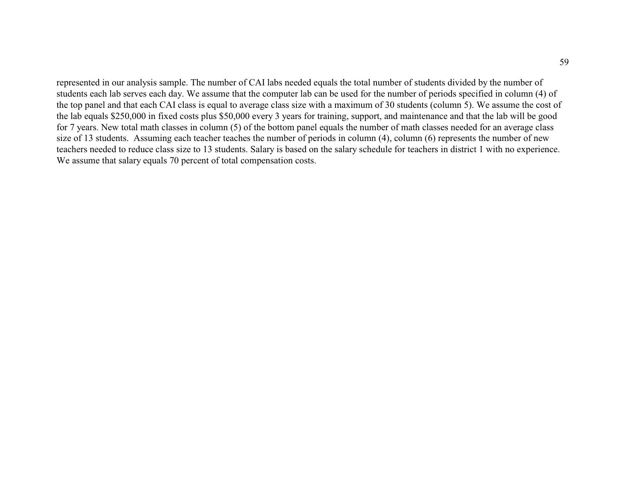represented in our analysis sample. The number of CAI labs needed equals the total number of students divided by the number of students each lab serves each day. We assume that the computer lab can be used for the number of periods specified in column (4) of the top panel and that each CAI class is equal to average class size with a maximum of 30 students (column 5). We assume the cost of the lab equals \$250,000 in fixed costs plus \$50,000 every 3 years for training, support, and maintenance and that the lab will be good for 7 years. New total math classes in column (5) of the bottom panel equals the number of math classes needed for an average class size of 13 students. Assuming each teacher teaches the number of periods in column (4), column (6) represents the number of new teachers needed to reduce class size to 13 students. Salary is based on the salary schedule for teachers in district 1 with no experience. We assume that salary equals 70 percent of total compensation costs.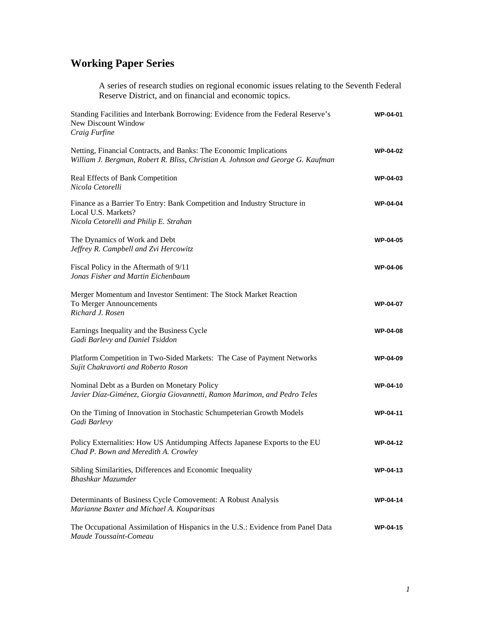# **Working Paper Series**

A series of research studies on regional economic issues relating to the Seventh Federal Reserve District, and on financial and economic topics.

| Standing Facilities and Interbank Borrowing: Evidence from the Federal Reserve's<br>New Discount Window<br>Craig Furfine                              | <b>WP-04-01</b> |
|-------------------------------------------------------------------------------------------------------------------------------------------------------|-----------------|
| Netting, Financial Contracts, and Banks: The Economic Implications<br>William J. Bergman, Robert R. Bliss, Christian A. Johnson and George G. Kaufman | <b>WP-04-02</b> |
| Real Effects of Bank Competition<br>Nicola Cetorelli                                                                                                  | <b>WP-04-03</b> |
| Finance as a Barrier To Entry: Bank Competition and Industry Structure in<br>Local U.S. Markets?<br>Nicola Cetorelli and Philip E. Strahan            | WP-04-04        |
| The Dynamics of Work and Debt<br>Jeffrey R. Campbell and Zvi Hercowitz                                                                                | <b>WP-04-05</b> |
| Fiscal Policy in the Aftermath of 9/11<br>Jonas Fisher and Martin Eichenbaum                                                                          | <b>WP-04-06</b> |
| Merger Momentum and Investor Sentiment: The Stock Market Reaction<br>To Merger Announcements<br>Richard J. Rosen                                      | <b>WP-04-07</b> |
| Earnings Inequality and the Business Cycle<br>Gadi Barlevy and Daniel Tsiddon                                                                         | <b>WP-04-08</b> |
| Platform Competition in Two-Sided Markets: The Case of Payment Networks<br>Sujit Chakravorti and Roberto Roson                                        | <b>WP-04-09</b> |
| Nominal Debt as a Burden on Monetary Policy<br>Javier Díaz-Giménez, Giorgia Giovannetti, Ramon Marimon, and Pedro Teles                               | <b>WP-04-10</b> |
| On the Timing of Innovation in Stochastic Schumpeterian Growth Models<br>Gadi Barlevy                                                                 | <b>WP-04-11</b> |
| Policy Externalities: How US Antidumping Affects Japanese Exports to the EU<br>Chad P. Bown and Meredith A. Crowley                                   | <b>WP-04-12</b> |
| Sibling Similarities, Differences and Economic Inequality<br>Bhashkar Mazumder                                                                        | <b>WP-04-13</b> |
| Determinants of Business Cycle Comovement: A Robust Analysis<br>Marianne Baxter and Michael A. Kouparitsas                                            | <b>WP-04-14</b> |
| The Occupational Assimilation of Hispanics in the U.S.: Evidence from Panel Data<br>Maude Toussaint-Comeau                                            | <b>WP-04-15</b> |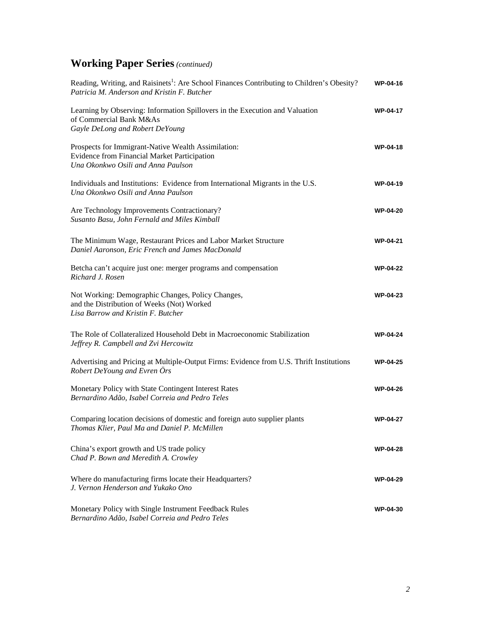| Reading, Writing, and Raisinets <sup>1</sup> : Are School Finances Contributing to Children's Obesity?<br>Patricia M. Anderson and Kristin F. Butcher | WP-04-16        |
|-------------------------------------------------------------------------------------------------------------------------------------------------------|-----------------|
| Learning by Observing: Information Spillovers in the Execution and Valuation<br>of Commercial Bank M&As<br>Gayle DeLong and Robert DeYoung            | <b>WP-04-17</b> |
| Prospects for Immigrant-Native Wealth Assimilation:<br>Evidence from Financial Market Participation<br>Una Okonkwo Osili and Anna Paulson             | <b>WP-04-18</b> |
| Individuals and Institutions: Evidence from International Migrants in the U.S.<br>Una Okonkwo Osili and Anna Paulson                                  | <b>WP-04-19</b> |
| Are Technology Improvements Contractionary?<br>Susanto Basu, John Fernald and Miles Kimball                                                           | <b>WP-04-20</b> |
| The Minimum Wage, Restaurant Prices and Labor Market Structure<br>Daniel Aaronson, Eric French and James MacDonald                                    | <b>WP-04-21</b> |
| Betcha can't acquire just one: merger programs and compensation<br>Richard J. Rosen                                                                   | <b>WP-04-22</b> |
| Not Working: Demographic Changes, Policy Changes,<br>and the Distribution of Weeks (Not) Worked<br>Lisa Barrow and Kristin F. Butcher                 | <b>WP-04-23</b> |
| The Role of Collateralized Household Debt in Macroeconomic Stabilization<br>Jeffrey R. Campbell and Zvi Hercowitz                                     | <b>WP-04-24</b> |
| Advertising and Pricing at Multiple-Output Firms: Evidence from U.S. Thrift Institutions<br>Robert DeYoung and Evren Örs                              | <b>WP-04-25</b> |
| Monetary Policy with State Contingent Interest Rates<br>Bernardino Adão, Isabel Correia and Pedro Teles                                               | <b>WP-04-26</b> |
| Comparing location decisions of domestic and foreign auto supplier plants<br>Thomas Klier, Paul Ma and Daniel P. McMillen                             | <b>WP-04-27</b> |
| China's export growth and US trade policy<br>Chad P. Bown and Meredith A. Crowley                                                                     | <b>WP-04-28</b> |
| Where do manufacturing firms locate their Headquarters?<br>J. Vernon Henderson and Yukako Ono                                                         | <b>WP-04-29</b> |
| Monetary Policy with Single Instrument Feedback Rules<br>Bernardino Adão, Isabel Correia and Pedro Teles                                              | <b>WP-04-30</b> |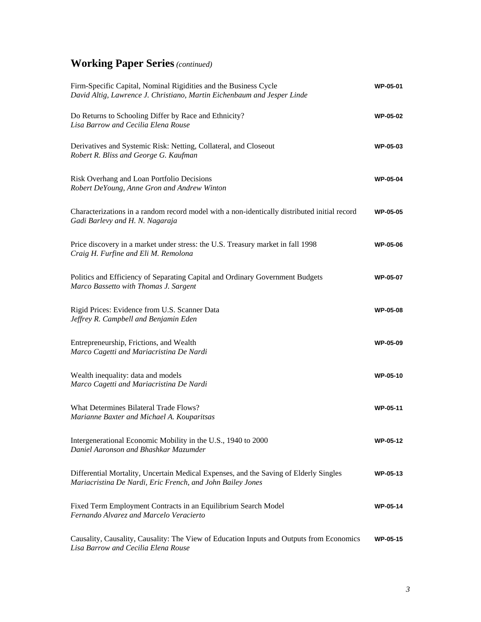| Firm-Specific Capital, Nominal Rigidities and the Business Cycle<br>David Altig, Lawrence J. Christiano, Martin Eichenbaum and Jesper Linde         | <b>WP-05-01</b> |
|-----------------------------------------------------------------------------------------------------------------------------------------------------|-----------------|
| Do Returns to Schooling Differ by Race and Ethnicity?<br>Lisa Barrow and Cecilia Elena Rouse                                                        | <b>WP-05-02</b> |
| Derivatives and Systemic Risk: Netting, Collateral, and Closeout<br>Robert R. Bliss and George G. Kaufman                                           | <b>WP-05-03</b> |
| Risk Overhang and Loan Portfolio Decisions<br>Robert DeYoung, Anne Gron and Andrew Winton                                                           | <b>WP-05-04</b> |
| Characterizations in a random record model with a non-identically distributed initial record<br>Gadi Barlevy and H. N. Nagaraja                     | <b>WP-05-05</b> |
| Price discovery in a market under stress: the U.S. Treasury market in fall 1998<br>Craig H. Furfine and Eli M. Remolona                             | <b>WP-05-06</b> |
| Politics and Efficiency of Separating Capital and Ordinary Government Budgets<br>Marco Bassetto with Thomas J. Sargent                              | <b>WP-05-07</b> |
| Rigid Prices: Evidence from U.S. Scanner Data<br>Jeffrey R. Campbell and Benjamin Eden                                                              | <b>WP-05-08</b> |
| Entrepreneurship, Frictions, and Wealth<br>Marco Cagetti and Mariacristina De Nardi                                                                 | <b>WP-05-09</b> |
| Wealth inequality: data and models<br>Marco Cagetti and Mariacristina De Nardi                                                                      | <b>WP-05-10</b> |
| What Determines Bilateral Trade Flows?<br>Marianne Baxter and Michael A. Kouparitsas                                                                | WP-05-11        |
| Intergenerational Economic Mobility in the U.S., 1940 to 2000<br>Daniel Aaronson and Bhashkar Mazumder                                              | WP-05-12        |
| Differential Mortality, Uncertain Medical Expenses, and the Saving of Elderly Singles<br>Mariacristina De Nardi, Eric French, and John Bailey Jones | WP-05-13        |
| Fixed Term Employment Contracts in an Equilibrium Search Model<br>Fernando Alvarez and Marcelo Veracierto                                           | <b>WP-05-14</b> |
| Causality, Causality, Causality: The View of Education Inputs and Outputs from Economics<br>Lisa Barrow and Cecilia Elena Rouse                     | WP-05-15        |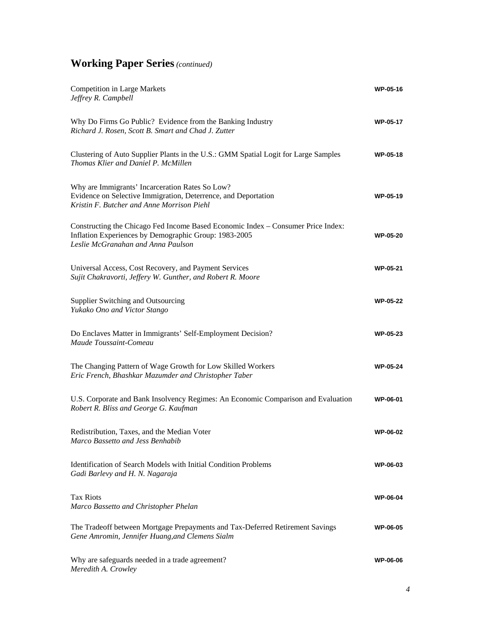| <b>Competition in Large Markets</b><br>Jeffrey R. Campbell                                                                                                                      | <b>WP-05-16</b> |
|---------------------------------------------------------------------------------------------------------------------------------------------------------------------------------|-----------------|
| Why Do Firms Go Public? Evidence from the Banking Industry<br>Richard J. Rosen, Scott B. Smart and Chad J. Zutter                                                               | <b>WP-05-17</b> |
| Clustering of Auto Supplier Plants in the U.S.: GMM Spatial Logit for Large Samples<br>Thomas Klier and Daniel P. McMillen                                                      | <b>WP-05-18</b> |
| Why are Immigrants' Incarceration Rates So Low?<br>Evidence on Selective Immigration, Deterrence, and Deportation<br>Kristin F. Butcher and Anne Morrison Piehl                 | <b>WP-05-19</b> |
| Constructing the Chicago Fed Income Based Economic Index – Consumer Price Index:<br>Inflation Experiences by Demographic Group: 1983-2005<br>Leslie McGranahan and Anna Paulson | <b>WP-05-20</b> |
| Universal Access, Cost Recovery, and Payment Services<br>Sujit Chakravorti, Jeffery W. Gunther, and Robert R. Moore                                                             | <b>WP-05-21</b> |
| Supplier Switching and Outsourcing<br>Yukako Ono and Victor Stango                                                                                                              | <b>WP-05-22</b> |
| Do Enclaves Matter in Immigrants' Self-Employment Decision?<br>Maude Toussaint-Comeau                                                                                           | <b>WP-05-23</b> |
| The Changing Pattern of Wage Growth for Low Skilled Workers<br>Eric French, Bhashkar Mazumder and Christopher Taber                                                             | <b>WP-05-24</b> |
| U.S. Corporate and Bank Insolvency Regimes: An Economic Comparison and Evaluation<br>Robert R. Bliss and George G. Kaufman                                                      | <b>WP-06-01</b> |
| Redistribution, Taxes, and the Median Voter<br>Marco Bassetto and Jess Benhabib                                                                                                 | <b>WP-06-02</b> |
| <b>Identification of Search Models with Initial Condition Problems</b><br>Gadi Barlevy and H. N. Nagaraja                                                                       | <b>WP-06-03</b> |
| <b>Tax Riots</b><br>Marco Bassetto and Christopher Phelan                                                                                                                       | <b>WP-06-04</b> |
| The Tradeoff between Mortgage Prepayments and Tax-Deferred Retirement Savings<br>Gene Amromin, Jennifer Huang, and Clemens Sialm                                                | <b>WP-06-05</b> |
| Why are safeguards needed in a trade agreement?<br>Meredith A. Crowley                                                                                                          | <b>WP-06-06</b> |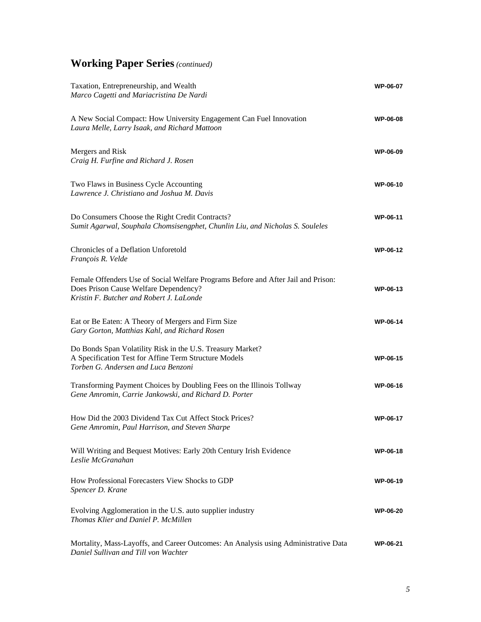| Taxation, Entrepreneurship, and Wealth<br>Marco Cagetti and Mariacristina De Nardi                                                                                     | <b>WP-06-07</b> |
|------------------------------------------------------------------------------------------------------------------------------------------------------------------------|-----------------|
| A New Social Compact: How University Engagement Can Fuel Innovation<br>Laura Melle, Larry Isaak, and Richard Mattoon                                                   | <b>WP-06-08</b> |
| Mergers and Risk<br>Craig H. Furfine and Richard J. Rosen                                                                                                              | <b>WP-06-09</b> |
| Two Flaws in Business Cycle Accounting<br>Lawrence J. Christiano and Joshua M. Davis                                                                                   | WP-06-10        |
| Do Consumers Choose the Right Credit Contracts?<br>Sumit Agarwal, Souphala Chomsisengphet, Chunlin Liu, and Nicholas S. Souleles                                       | WP-06-11        |
| Chronicles of a Deflation Unforetold<br>François R. Velde                                                                                                              | <b>WP-06-12</b> |
| Female Offenders Use of Social Welfare Programs Before and After Jail and Prison:<br>Does Prison Cause Welfare Dependency?<br>Kristin F. Butcher and Robert J. LaLonde | WP-06-13        |
| Eat or Be Eaten: A Theory of Mergers and Firm Size<br>Gary Gorton, Matthias Kahl, and Richard Rosen                                                                    | <b>WP-06-14</b> |
| Do Bonds Span Volatility Risk in the U.S. Treasury Market?<br>A Specification Test for Affine Term Structure Models<br>Torben G. Andersen and Luca Benzoni             | <b>WP-06-15</b> |
| Transforming Payment Choices by Doubling Fees on the Illinois Tollway<br>Gene Amromin, Carrie Jankowski, and Richard D. Porter                                         | <b>WP-06-16</b> |
| How Did the 2003 Dividend Tax Cut Affect Stock Prices?<br>Gene Amromin, Paul Harrison, and Steven Sharpe                                                               | <b>WP-06-17</b> |
| Will Writing and Bequest Motives: Early 20th Century Irish Evidence<br>Leslie McGranahan                                                                               | WP-06-18        |
| How Professional Forecasters View Shocks to GDP<br>Spencer D. Krane                                                                                                    | WP-06-19        |
| Evolving Agglomeration in the U.S. auto supplier industry<br>Thomas Klier and Daniel P. McMillen                                                                       | <b>WP-06-20</b> |
| Mortality, Mass-Layoffs, and Career Outcomes: An Analysis using Administrative Data<br>Daniel Sullivan and Till von Wachter                                            | <b>WP-06-21</b> |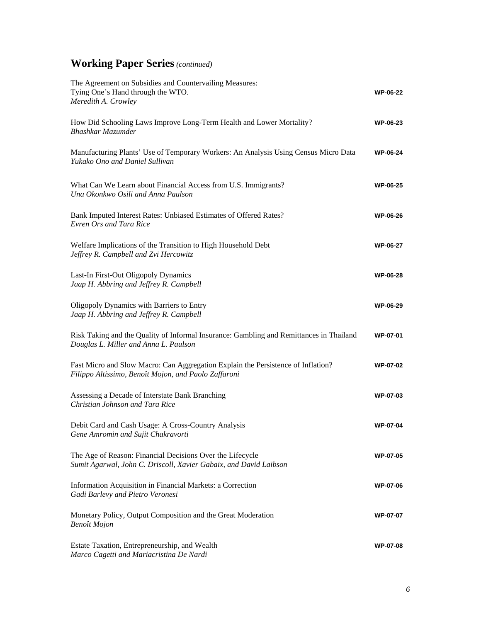| The Agreement on Subsidies and Countervailing Measures:<br>Tying One's Hand through the WTO.<br>Meredith A. Crowley                      | <b>WP-06-22</b> |
|------------------------------------------------------------------------------------------------------------------------------------------|-----------------|
| How Did Schooling Laws Improve Long-Term Health and Lower Mortality?<br>Bhashkar Mazumder                                                | WP-06-23        |
| Manufacturing Plants' Use of Temporary Workers: An Analysis Using Census Micro Data<br>Yukako Ono and Daniel Sullivan                    | <b>WP-06-24</b> |
| What Can We Learn about Financial Access from U.S. Immigrants?<br>Una Okonkwo Osili and Anna Paulson                                     | <b>WP-06-25</b> |
| Bank Imputed Interest Rates: Unbiased Estimates of Offered Rates?<br>Evren Ors and Tara Rice                                             | <b>WP-06-26</b> |
| Welfare Implications of the Transition to High Household Debt<br>Jeffrey R. Campbell and Zvi Hercowitz                                   | <b>WP-06-27</b> |
| Last-In First-Out Oligopoly Dynamics<br>Jaap H. Abbring and Jeffrey R. Campbell                                                          | <b>WP-06-28</b> |
| Oligopoly Dynamics with Barriers to Entry<br>Jaap H. Abbring and Jeffrey R. Campbell                                                     | <b>WP-06-29</b> |
| Risk Taking and the Quality of Informal Insurance: Gambling and Remittances in Thailand<br>Douglas L. Miller and Anna L. Paulson         | <b>WP-07-01</b> |
| Fast Micro and Slow Macro: Can Aggregation Explain the Persistence of Inflation?<br>Filippo Altissimo, Benoît Mojon, and Paolo Zaffaroni | <b>WP-07-02</b> |
| Assessing a Decade of Interstate Bank Branching<br>Christian Johnson and Tara Rice                                                       | <b>WP-07-03</b> |
| Debit Card and Cash Usage: A Cross-Country Analysis<br>Gene Amromin and Sujit Chakravorti                                                | <b>WP-07-04</b> |
| The Age of Reason: Financial Decisions Over the Lifecycle<br>Sumit Agarwal, John C. Driscoll, Xavier Gabaix, and David Laibson           | WP-07-05        |
| Information Acquisition in Financial Markets: a Correction<br>Gadi Barlevy and Pietro Veronesi                                           | <b>WP-07-06</b> |
| Monetary Policy, Output Composition and the Great Moderation<br><b>Benoît</b> Mojon                                                      | <b>WP-07-07</b> |
| Estate Taxation, Entrepreneurship, and Wealth<br>Marco Cagetti and Mariacristina De Nardi                                                | <b>WP-07-08</b> |